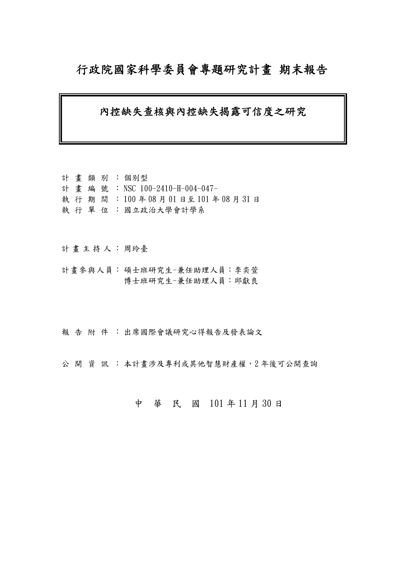# 行政院國家科學委員會專題研究計畫 期末報告

# 內控缺失查核與內控缺失揭露可信度之研究

計 畫 類 別 : 個別型 計畫編號: NSC 100-2410-H-004-047- 執 行 期 間 : 100 年 08 月 01 日至 101 年 08 月 31 日 執 行 單 位 :國立政治大學會計學系

計畫主持人:周玲臺

計畫參與人員: 碩士班研究生-兼任助理人員:李奕萱 博士班研究生-兼任助理人員:邱獻良

報告附件: 出席國際會議研究心得報告及發表論文

公開 資訊 : 本計畫涉及專利或其他智慧財產權, 2年後可公開查詢

# 中 華 民 國 101 年 11 月 30 日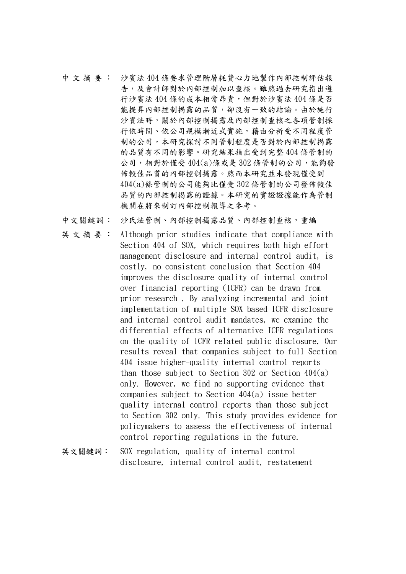- 中 文 摘 要 : 沙賓法 404 條要求管理階層耗費心力地製作內部控制評估報 告,及會計師對於內部控制加以查核。雖然過去研究指出遵 行沙賓法 404 條的成本相當昂貴,但對於沙賓法 404 條是否 能提昇內部控制揭露的品質,卻沒有一致的結論。由於施行 沙賓法時,關於內部控制揭露及內部控制查核之各項管制採 行依時間、依公司規模漸近式實施,藉由分析受不同程度管 制的公司,本研究探討不同管制程度是否對於內部控制揭露 的品質有不同的影響。研究結果指出受到完整 404 條管制的 公司,相對於僅受404(a)條或是302條管制的公司,能夠發 佈較佳品質的內部控制揭露。然而本研究並未發現僅受到 404(a)條管制的公司能夠比僅受 302 條管制的公司發佈較佳 品質的內部控制揭露的證據。本研究的實證證據能作為管制 機關在將來制訂內部控制報導之參考。
- 中文關鍵詞: 沙氏法管制、內部控制揭露品質、內部控制查核,重編
- 英 文 摘 要 : Although prior studies indicate that compliance with Section 404 of SOX, which requires both high-effort management disclosure and internal control audit, is costly, no consistent conclusion that Section 404 improves the disclosure quality of internal control over financial reporting (ICFR) can be drawn from prior research . By analyzing incremental and joint implementation of multiple SOX-based ICFR disclosure and internal control audit mandates, we examine the differential effects of alternative ICFR regulations on the quality of ICFR related public disclosure. Our results reveal that companies subject to full Section 404 issue higher-quality internal control reports than those subject to Section 302 or Section  $404(a)$ only. However, we find no supporting evidence that companies subject to Section 404(a) issue better quality internal control reports than those subject to Section 302 only. This study provides evidence for policymakers to assess the effectiveness of internal control reporting regulations in the future.
- 英文關鍵詞: SOX regulation, quality of internal control disclosure, internal control audit, restatement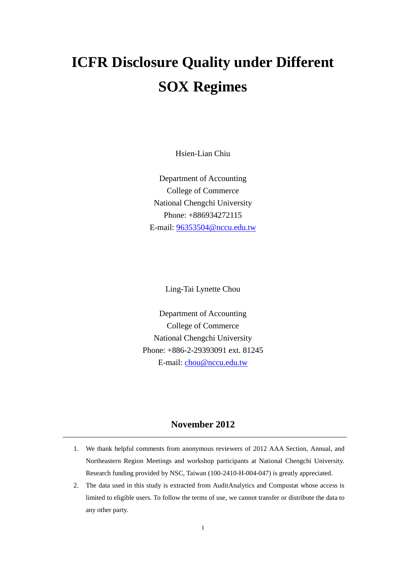# **ICFR Disclosure Quality under Different SOX Regimes**

Hsien-Lian Chiu

Department of Accounting College of Commerce National Chengchi University Phone: +886934272115 E-mail: [96353504@nccu.edu.tw](mailto:96353504@nccu.edu.tw)

Ling-Tai Lynette Chou

Department of Accounting College of Commerce National Chengchi University Phone: +886-2-29393091 ext. 81245 E-mail: [chou@nccu.edu.tw](mailto:chou@nccu.edu.tw)

# **November 2012**

- 1. We thank helpful comments from anonymous reviewers of 2012 AAA Section, Annual, and Northeastern Region Meetings and workshop participants at National Chengchi University. Research funding provided by NSC, Taiwan (100-2410-H-004-047) is greatly appreciated.
- 2. The data used in this study is extracted from AuditAnalytics and Compustat whose access is limited to eligible users. To follow the terms of use, we cannot transfer or distribute the data to any other party.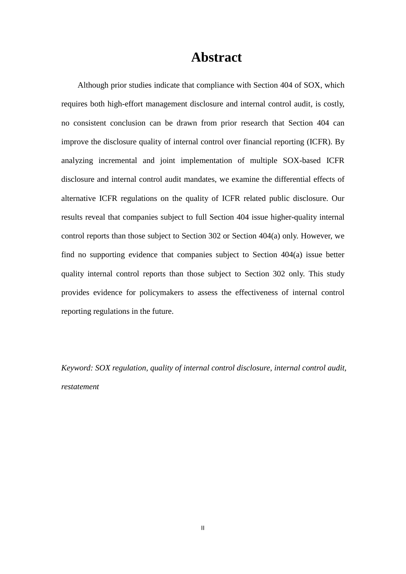# **Abstract**

Although prior studies indicate that compliance with Section 404 of SOX, which requires both high-effort management disclosure and internal control audit, is costly, no consistent conclusion can be drawn from prior research that Section 404 can improve the disclosure quality of internal control over financial reporting (ICFR). By analyzing incremental and joint implementation of multiple SOX-based ICFR disclosure and internal control audit mandates, we examine the differential effects of alternative ICFR regulations on the quality of ICFR related public disclosure. Our results reveal that companies subject to full Section 404 issue higher-quality internal control reports than those subject to Section 302 or Section 404(a) only. However, we find no supporting evidence that companies subject to Section 404(a) issue better quality internal control reports than those subject to Section 302 only. This study provides evidence for policymakers to assess the effectiveness of internal control reporting regulations in the future.

*Keyword: SOX regulation, quality of internal control disclosure, internal control audit, restatement*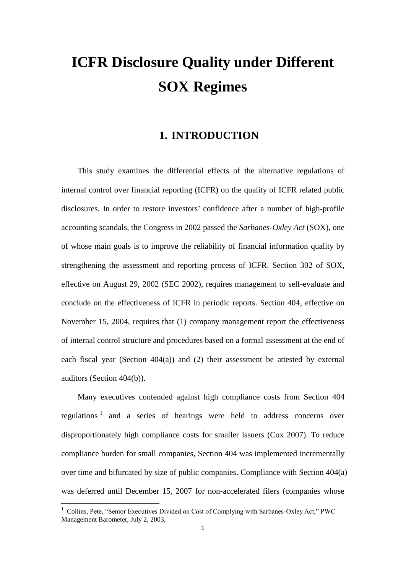# **ICFR Disclosure Quality under Different SOX Regimes**

# **1. INTRODUCTION**

This study examines the differential effects of the alternative regulations of internal control over financial reporting (ICFR) on the quality of ICFR related public disclosures. In order to restore investors' confidence after a number of high-profile accounting scandals, the Congress in 2002 passed the *Sarbanes-Oxley Act* (SOX), one of whose main goals is to improve the reliability of financial information quality by strengthening the assessment and reporting process of ICFR. Section 302 of SOX, effective on August 29, 2002 (SEC 2002), requires management to self-evaluate and conclude on the effectiveness of ICFR in periodic reports. Section 404, effective on November 15, 2004, requires that (1) company management report the effectiveness of internal control structure and procedures based on a formal assessment at the end of each fiscal year (Section 404(a)) and (2) their assessment be attested by external auditors (Section 404(b)).

Many executives contended against high compliance costs from Section 404 regulations<sup>1</sup> and a series of hearings were held to address concerns over disproportionately high compliance costs for smaller issuers (Cox 2007). To reduce compliance burden for small companies, Section 404 was implemented incrementally over time and bifurcated by size of public companies. Compliance with Section 404(a) was deferred until December 15, 2007 for non-accelerated filers (companies whose

 $\overline{a}$ 

<sup>&</sup>lt;sup>1</sup> Collins, Pete, "Senior Executives Divided on Cost of Complying with Sarbanes-Oxley Act," PWC Management Barometer, July 2, 2003,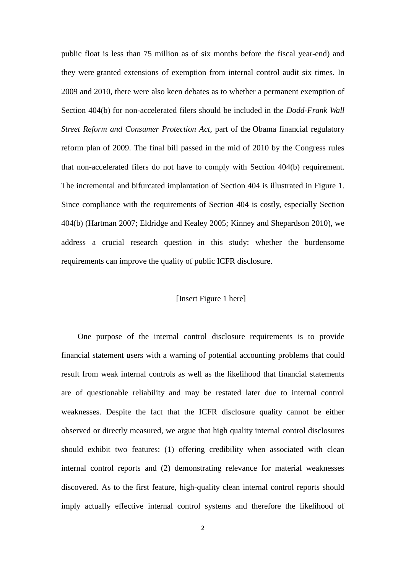public float is less than 75 million as of six months before the fiscal year-end) and they were granted extensions of exemption from internal control audit six times. In 2009 and 2010, there were also keen debates as to whether a permanent exemption of Section 404(b) for non-accelerated filers should be included in the *Dodd-Frank Wall Street Reform and Consumer Protection Act,* part of the [Obama financial regulatory](http://en.wikipedia.org/wiki/Obama_financial_regulatory_reform_plan_of_2009)  [reform plan of 2009.](http://en.wikipedia.org/wiki/Obama_financial_regulatory_reform_plan_of_2009) The final bill passed in the mid of 2010 by the Congress rules that non-accelerated filers do not have to comply with Section 404(b) requirement. The incremental and bifurcated implantation of Section 404 is illustrated in Figure 1. Since compliance with the requirements of Section 404 is costly, especially Section 404(b) (Hartman 2007; Eldridge and Kealey 2005; Kinney and Shepardson 2010), we address a crucial research question in this study: whether the burdensome requirements can improve the quality of public ICFR disclosure.

#### [Insert Figure 1 here]

One purpose of the internal control disclosure requirements is to provide financial statement users with a warning of potential accounting problems that could result from weak internal controls as well as the likelihood that financial statements are of questionable reliability and may be restated later due to internal control weaknesses. Despite the fact that the ICFR disclosure quality cannot be either observed or directly measured, we argue that high quality internal control disclosures should exhibit two features: (1) offering credibility when associated with clean internal control reports and (2) demonstrating relevance for material weaknesses discovered. As to the first feature, high-quality clean internal control reports should imply actually effective internal control systems and therefore the likelihood of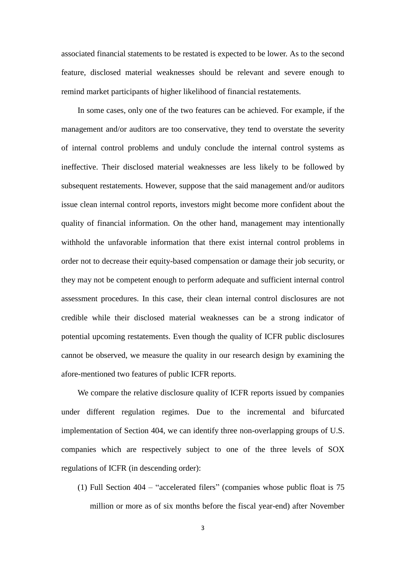associated financial statements to be restated is expected to be lower. As to the second feature, disclosed material weaknesses should be relevant and severe enough to remind market participants of higher likelihood of financial restatements.

In some cases, only one of the two features can be achieved. For example, if the management and/or auditors are too conservative, they tend to overstate the severity of internal control problems and unduly conclude the internal control systems as ineffective. Their disclosed material weaknesses are less likely to be followed by subsequent restatements. However, suppose that the said management and/or auditors issue clean internal control reports, investors might become more confident about the quality of financial information. On the other hand, management may intentionally withhold the unfavorable information that there exist internal control problems in order not to decrease their equity-based compensation or damage their job security, or they may not be competent enough to perform adequate and sufficient internal control assessment procedures. In this case, their clean internal control disclosures are not credible while their disclosed material weaknesses can be a strong indicator of potential upcoming restatements. Even though the quality of ICFR public disclosures cannot be observed, we measure the quality in our research design by examining the afore-mentioned two features of public ICFR reports.

We compare the relative disclosure quality of ICFR reports issued by companies under different regulation regimes. Due to the incremental and bifurcated implementation of Section 404, we can identify three non-overlapping groups of U.S. companies which are respectively subject to one of the three levels of SOX regulations of ICFR (in descending order):

(1) Full Section 404 – "accelerated filers" (companies whose public float is 75 million or more as of six months before the fiscal year-end) after November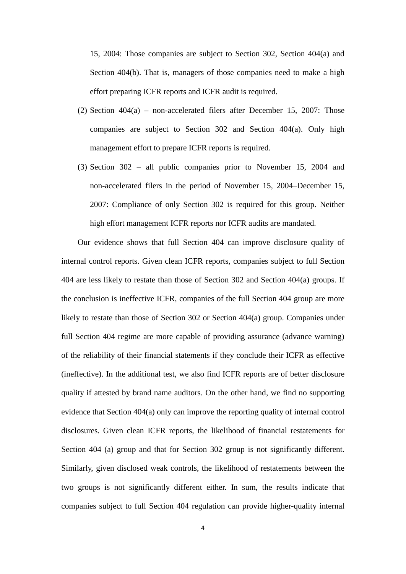15, 2004: Those companies are subject to Section 302, Section 404(a) and Section 404(b). That is, managers of those companies need to make a high effort preparing ICFR reports and ICFR audit is required.

- (2) Section 404(a) non-accelerated filers after December 15, 2007: Those companies are subject to Section 302 and Section 404(a). Only high management effort to prepare ICFR reports is required.
- (3) Section 302 all public companies prior to November 15, 2004 and non-accelerated filers in the period of November 15, 2004–December 15, 2007: Compliance of only Section 302 is required for this group. Neither high effort management ICFR reports nor ICFR audits are mandated.

Our evidence shows that full Section 404 can improve disclosure quality of internal control reports. Given clean ICFR reports, companies subject to full Section 404 are less likely to restate than those of Section 302 and Section 404(a) groups. If the conclusion is ineffective ICFR, companies of the full Section 404 group are more likely to restate than those of Section 302 or Section 404(a) group. Companies under full Section 404 regime are more capable of providing assurance (advance warning) of the reliability of their financial statements if they conclude their ICFR as effective (ineffective). In the additional test, we also find ICFR reports are of better disclosure quality if attested by brand name auditors. On the other hand, we find no supporting evidence that Section 404(a) only can improve the reporting quality of internal control disclosures. Given clean ICFR reports, the likelihood of financial restatements for Section 404 (a) group and that for Section 302 group is not significantly different. Similarly, given disclosed weak controls, the likelihood of restatements between the two groups is not significantly different either. In sum, the results indicate that companies subject to full Section 404 regulation can provide higher-quality internal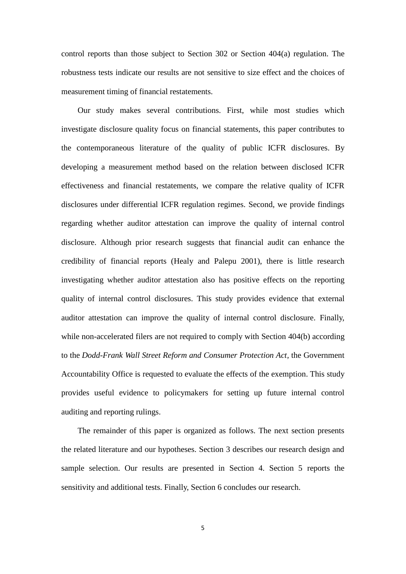control reports than those subject to Section 302 or Section 404(a) regulation. The robustness tests indicate our results are not sensitive to size effect and the choices of measurement timing of financial restatements.

Our study makes several contributions. First, while most studies which investigate disclosure quality focus on financial statements, this paper contributes to the contemporaneous literature of the quality of public ICFR disclosures. By developing a measurement method based on the relation between disclosed ICFR effectiveness and financial restatements, we compare the relative quality of ICFR disclosures under differential ICFR regulation regimes. Second, we provide findings regarding whether auditor attestation can improve the quality of internal control disclosure. Although prior research suggests that financial audit can enhance the credibility of financial reports (Healy and Palepu 2001), there is little research investigating whether auditor attestation also has positive effects on the reporting quality of internal control disclosures. This study provides evidence that external auditor attestation can improve the quality of internal control disclosure. Finally, while non-accelerated filers are not required to comply with Section 404(b) according to the *Dodd-Frank Wall Street Reform and Consumer Protection Act,* the Government Accountability Office is requested to evaluate the effects of the exemption. This study provides useful evidence to policymakers for setting up future internal control auditing and reporting rulings.

The remainder of this paper is organized as follows. The next section presents the related literature and our hypotheses. Section 3 describes our research design and sample selection. Our results are presented in Section 4. Section 5 reports the sensitivity and additional tests. Finally, Section 6 concludes our research.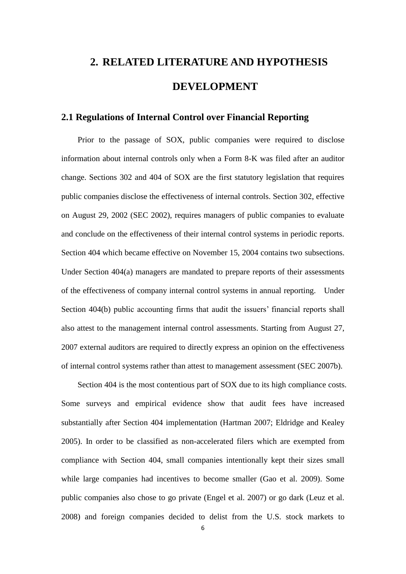# **2. RELATED LITERATURE AND HYPOTHESIS DEVELOPMENT**

# **2.1 Regulations of Internal Control over Financial Reporting**

Prior to the passage of SOX, public companies were required to disclose information about internal controls only when a Form 8-K was filed after an auditor change. Sections 302 and 404 of SOX are the first statutory legislation that requires public companies disclose the effectiveness of internal controls. Section 302, effective on August 29, 2002 (SEC 2002), requires managers of public companies to evaluate and conclude on the effectiveness of their internal control systems in periodic reports. Section 404 which became effective on November 15, 2004 contains two subsections. Under Section 404(a) managers are mandated to prepare reports of their assessments of the effectiveness of company internal control systems in annual reporting. Under Section 404(b) public accounting firms that audit the issuers' financial reports shall also attest to the management internal control assessments. Starting from August 27, 2007 external auditors are required to directly express an opinion on the effectiveness of internal control systems rather than attest to management assessment (SEC 2007b).

Section 404 is the most contentious part of SOX due to its high compliance costs. Some surveys and empirical evidence show that audit fees have increased substantially after Section 404 implementation (Hartman 2007; Eldridge and Kealey 2005). In order to be classified as non-accelerated filers which are exempted from compliance with Section 404, small companies intentionally kept their sizes small while large companies had incentives to become smaller (Gao et al. 2009). Some public companies also chose to go private (Engel et al. 2007) or go dark (Leuz et al. 2008) and foreign companies decided to delist from the U.S. stock markets to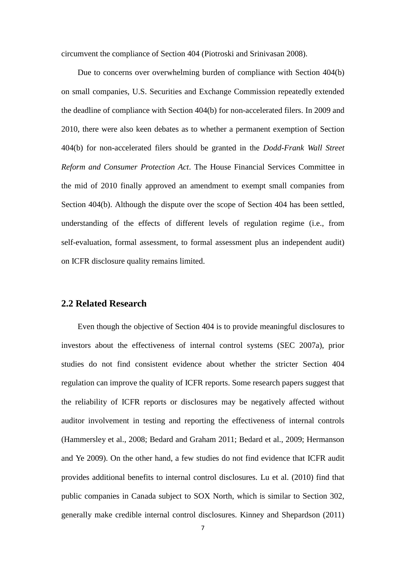circumvent the compliance of Section 404 (Piotroski and Srinivasan 2008).

 Due to concerns over overwhelming burden of compliance with Section 404(b) on small companies, U.S. Securities and Exchange Commission repeatedly extended the deadline of compliance with Section 404(b) for non-accelerated filers. In 2009 and 2010, there were also keen debates as to whether a permanent exemption of Section 404(b) for non-accelerated filers should be granted in the *Dodd-Frank Wall Street Reform and Consumer Protection Act*. The House Financial Services Committee in the mid of 2010 finally approved an amendment to exempt small companies from Section 404(b). Although the dispute over the scope of Section 404 has been settled, understanding of the effects of different levels of regulation regime (i.e., from self-evaluation, formal assessment, to formal assessment plus an independent audit) on ICFR disclosure quality remains limited.

#### **2.2 Related Research**

Even though the objective of Section 404 is to provide meaningful disclosures to investors about the effectiveness of internal control systems (SEC 2007a), prior studies do not find consistent evidence about whether the stricter Section 404 regulation can improve the quality of ICFR reports. Some research papers suggest that the reliability of ICFR reports or disclosures may be negatively affected without auditor involvement in testing and reporting the effectiveness of internal controls (Hammersley et al., 2008; Bedard and Graham 2011; Bedard et al., 2009; Hermanson and Ye 2009). On the other hand, a few studies do not find evidence that ICFR audit provides additional benefits to internal control disclosures. Lu et al. (2010) find that public companies in Canada subject to SOX North, which is similar to Section 302, generally make credible internal control disclosures. Kinney and Shepardson (2011)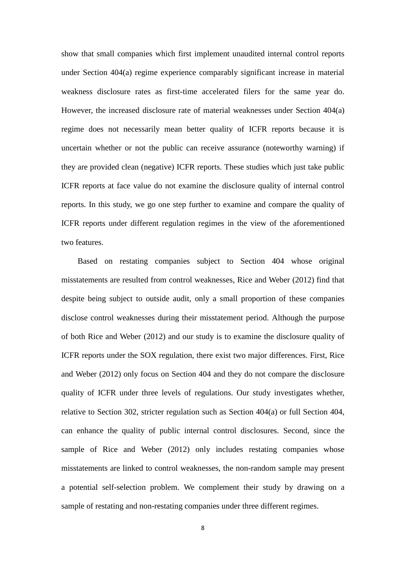show that small companies which first implement unaudited internal control reports under Section 404(a) regime experience comparably significant increase in material weakness disclosure rates as first-time accelerated filers for the same year do. However, the increased disclosure rate of material weaknesses under Section 404(a) regime does not necessarily mean better quality of ICFR reports because it is uncertain whether or not the public can receive assurance (noteworthy warning) if they are provided clean (negative) ICFR reports. These studies which just take public ICFR reports at face value do not examine the disclosure quality of internal control reports. In this study, we go one step further to examine and compare the quality of ICFR reports under different regulation regimes in the view of the aforementioned two features.

Based on restating companies subject to Section 404 whose original misstatements are resulted from control weaknesses, Rice and Weber (2012) find that despite being subject to outside audit, only a small proportion of these companies disclose control weaknesses during their misstatement period. Although the purpose of both Rice and Weber (2012) and our study is to examine the disclosure quality of ICFR reports under the SOX regulation, there exist two major differences. First, Rice and Weber (2012) only focus on Section 404 and they do not compare the disclosure quality of ICFR under three levels of regulations. Our study investigates whether, relative to Section 302, stricter regulation such as Section 404(a) or full Section 404, can enhance the quality of public internal control disclosures. Second, since the sample of Rice and Weber (2012) only includes restating companies whose misstatements are linked to control weaknesses, the non-random sample may present a potential self-selection problem. We complement their study by drawing on a sample of restating and non-restating companies under three different regimes.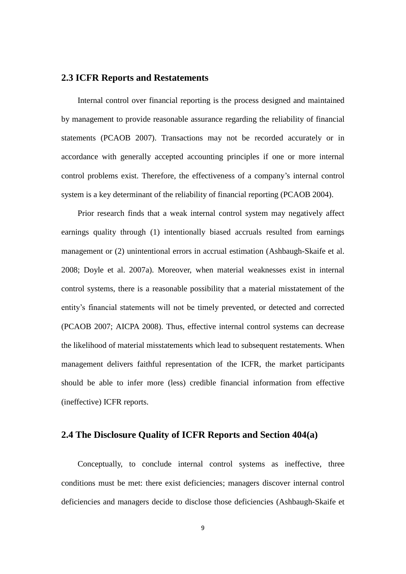#### **2.3 ICFR Reports and Restatements**

Internal control over financial reporting is the process designed and maintained by management to provide reasonable assurance regarding the reliability of financial statements (PCAOB 2007). Transactions may not be recorded accurately or in accordance with generally accepted accounting principles if one or more internal control problems exist. Therefore, the effectiveness of a company's internal control system is a key determinant of the reliability of financial reporting (PCAOB 2004).

Prior research finds that a weak internal control system may negatively affect earnings quality through (1) intentionally biased accruals resulted from earnings management or (2) unintentional errors in accrual estimation (Ashbaugh-Skaife et al. 2008; Doyle et al. 2007a). Moreover, when material weaknesses exist in internal control systems, there is a reasonable possibility that a material misstatement of the entity's financial statements will not be timely prevented, or detected and corrected (PCAOB 2007; AICPA 2008). Thus, effective internal control systems can decrease the likelihood of material misstatements which lead to subsequent restatements. When management delivers faithful representation of the ICFR, the market participants should be able to infer more (less) credible financial information from effective (ineffective) ICFR reports.

# **2.4 The Disclosure Quality of ICFR Reports and Section 404(a)**

Conceptually, to conclude internal control systems as ineffective, three conditions must be met: there exist deficiencies; managers discover internal control deficiencies and managers decide to disclose those deficiencies (Ashbaugh-Skaife et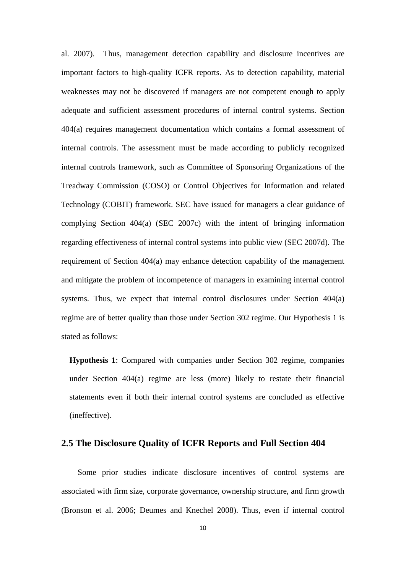al. 2007). Thus, management detection capability and disclosure incentives are important factors to high-quality ICFR reports. As to detection capability, material weaknesses may not be discovered if managers are not competent enough to apply adequate and sufficient assessment procedures of internal control systems. Section 404(a) requires management documentation which contains a formal assessment of internal controls. The assessment must be made according to publicly recognized internal controls framework, such as Committee of Sponsoring Organizations of the Treadway Commission (COSO) or Control Objectives for Information and related Technology (COBIT) framework. SEC have issued for managers a clear guidance of complying Section 404(a) (SEC 2007c) with the intent of bringing information regarding effectiveness of internal control systems into public view (SEC 2007d). The requirement of Section 404(a) may enhance detection capability of the management and mitigate the problem of incompetence of managers in examining internal control systems. Thus, we expect that internal control disclosures under Section 404(a) regime are of better quality than those under Section 302 regime. Our Hypothesis 1 is stated as follows:

**Hypothesis 1**: Compared with companies under Section 302 regime, companies under Section 404(a) regime are less (more) likely to restate their financial statements even if both their internal control systems are concluded as effective (ineffective).

### **2.5 The Disclosure Quality of ICFR Reports and Full Section 404**

Some prior studies indicate disclosure incentives of control systems are associated with firm size, corporate governance, ownership structure, and firm growth (Bronson et al. 2006; Deumes and Knechel 2008). Thus, even if internal control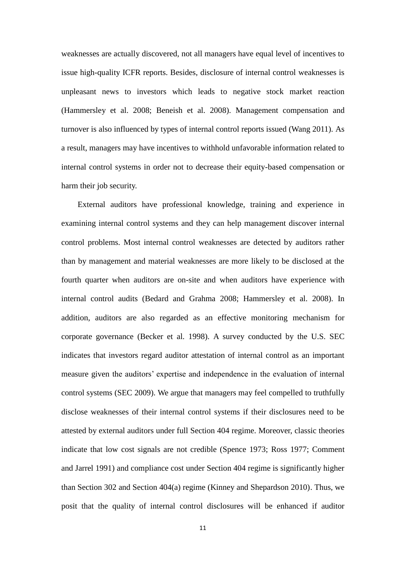weaknesses are actually discovered, not all managers have equal level of incentives to issue high-quality ICFR reports. Besides, disclosure of internal control weaknesses is unpleasant news to investors which leads to negative stock market reaction (Hammersley et al. 2008; Beneish et al. 2008). Management compensation and turnover is also influenced by types of internal control reports issued (Wang 2011). As a result, managers may have incentives to withhold unfavorable information related to internal control systems in order not to decrease their equity-based compensation or harm their job security.

External auditors have professional knowledge, training and experience in examining internal control systems and they can help management discover internal control problems. Most internal control weaknesses are detected by auditors rather than by management and material weaknesses are more likely to be disclosed at the fourth quarter when auditors are on-site and when auditors have experience with internal control audits (Bedard and Grahma 2008; Hammersley et al. 2008). In addition, auditors are also regarded as an effective monitoring mechanism for corporate governance (Becker et al. 1998). A survey conducted by the U.S. SEC indicates that investors regard auditor attestation of internal control as an important measure given the auditors' expertise and independence in the evaluation of internal control systems (SEC 2009). We argue that managers may feel compelled to truthfully disclose weaknesses of their internal control systems if their disclosures need to be attested by external auditors under full Section 404 regime. Moreover, classic theories indicate that low cost signals are not credible (Spence 1973; Ross 1977; Comment and Jarrel 1991) and compliance cost under Section 404 regime is significantly higher than Section 302 and Section 404(a) regime (Kinney and Shepardson 2010). Thus, we posit that the quality of internal control disclosures will be enhanced if auditor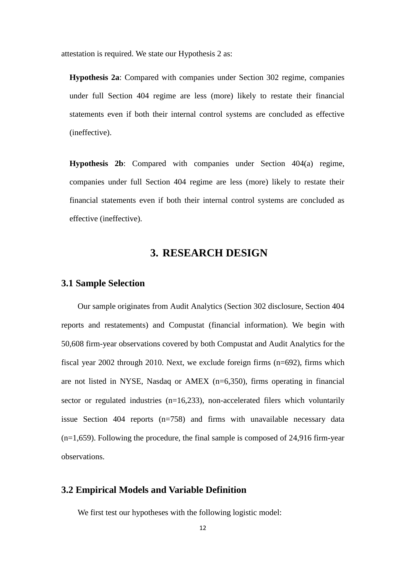attestation is required. We state our Hypothesis 2 as:

**Hypothesis 2a**: Compared with companies under Section 302 regime, companies under full Section 404 regime are less (more) likely to restate their financial statements even if both their internal control systems are concluded as effective (ineffective).

**Hypothesis 2b**: Compared with companies under Section 404(a) regime, companies under full Section 404 regime are less (more) likely to restate their financial statements even if both their internal control systems are concluded as effective (ineffective).

# **3. RESEARCH DESIGN**

## **3.1 Sample Selection**

Our sample originates from Audit Analytics (Section 302 disclosure, Section 404 reports and restatements) and Compustat (financial information). We begin with 50,608 firm-year observations covered by both Compustat and Audit Analytics for the fiscal year 2002 through 2010. Next, we exclude foreign firms (n=692), firms which are not listed in NYSE, Nasdaq or AMEX (n=6,350), firms operating in financial sector or regulated industries (n=16,233), non-accelerated filers which voluntarily issue Section 404 reports (n=758) and firms with unavailable necessary data (n=1,659). Following the procedure, the final sample is composed of 24,916 firm-year observations.

### **3.2 Empirical Models and Variable Definition**

We first test our hypotheses with the following logistic model: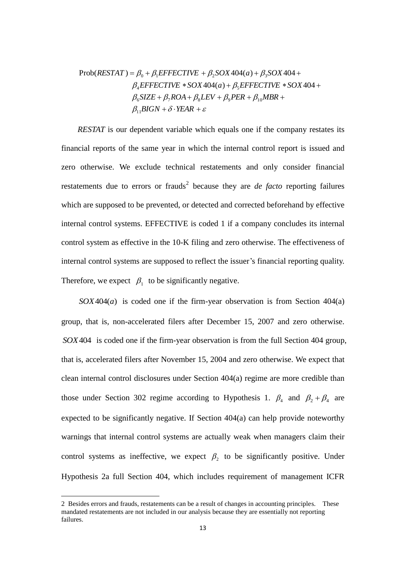$$
Prob(RESTAT) = \beta_0 + \beta_1 EFFECTIVE + \beta_2SOX404(a) + \beta_3SOX404 +
$$
  

$$
\beta_4 EFFECTIVE * SOX404(a) + \beta_5 EFFECTIVE * SOX404 +
$$
  

$$
\beta_6 SIZE + \beta_7 ROA + \beta_8 LEV + \beta_9 PER + \beta_{10} MBR +
$$
  

$$
\beta_{11} BIGN + \delta \cdot YEAR + \varepsilon
$$

*RESTAT* is our dependent variable which equals one if the company restates its financial reports of the same year in which the internal control report is issued and zero otherwise. We exclude technical restatements and only consider financial restatements due to errors or frauds<sup>2</sup> because they are *de facto* reporting failures which are supposed to be prevented, or detected and corrected beforehand by effective internal control systems. EFFECTIVE is coded 1 if a company concludes its internal control system as effective in the 10-K filing and zero otherwise. The effectiveness of internal control systems are supposed to reflect the issuer's financial reporting quality. Therefore, we expect  $\beta_1$  to be significantly negative.

*SOX*404(*a*) is coded one if the firm-year observation is from Section 404(a) group, that is, non-accelerated filers after December 15, 2007 and zero otherwise. *SOX*404 is coded one if the firm-year observation is from the full Section 404 group, that is, accelerated filers after November 15, 2004 and zero otherwise. We expect that clean internal control disclosures under Section 404(a) regime are more credible than those under Section 302 regime according to Hypothesis 1.  $\beta_4$  and  $\beta_2 + \beta_4$  are expected to be significantly negative. If Section 404(a) can help provide noteworthy warnings that internal control systems are actually weak when managers claim their control systems as ineffective, we expect  $\beta_2$  to be significantly positive. Under Hypothesis 2a full Section 404, which includes requirement of management ICFR

 $\overline{a}$ 

<sup>2</sup> Besides errors and frauds, restatements can be a result of changes in accounting principles. These mandated restatements are not included in our analysis because they are essentially not reporting failures.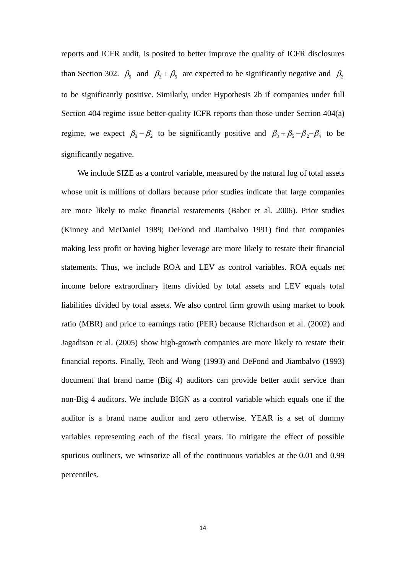reports and ICFR audit, is posited to better improve the quality of ICFR disclosures than Section 302.  $\beta_5$  and  $\beta_3 + \beta_5$  are expected to be significantly negative and  $\beta_3$ to be significantly positive. Similarly, under Hypothesis 2b if companies under full Section 404 regime issue better-quality ICFR reports than those under Section 404(a) regime, we expect  $\beta_3 - \beta_2$  to be significantly positive and  $\beta_3 + \beta_5 - \beta_2 - \beta_4$  to be significantly negative.

We include SIZE as a control variable, measured by the natural log of total assets whose unit is millions of dollars because prior studies indicate that large companies are more likely to make financial restatements (Baber et al. 2006). Prior studies (Kinney and McDaniel 1989; DeFond and Jiambalvo 1991) find that companies making less profit or having higher leverage are more likely to restate their financial statements. Thus, we include ROA and LEV as control variables. ROA equals net income before extraordinary items divided by total assets and LEV equals total liabilities divided by total assets. We also control firm growth using market to book ratio (MBR) and price to earnings ratio (PER) because Richardson et al. (2002) and Jagadison et al. (2005) show high-growth companies are more likely to restate their financial reports. Finally, Teoh and Wong (1993) and DeFond and Jiambalvo (1993) document that brand name (Big 4) auditors can provide better audit service than non-Big 4 auditors. We include BIGN as a control variable which equals one if the auditor is a brand name auditor and zero otherwise. YEAR is a set of dummy variables representing each of the fiscal years. To mitigate the effect of possible spurious outliners, we winsorize all of the continuous variables at the 0.01 and 0.99 percentiles.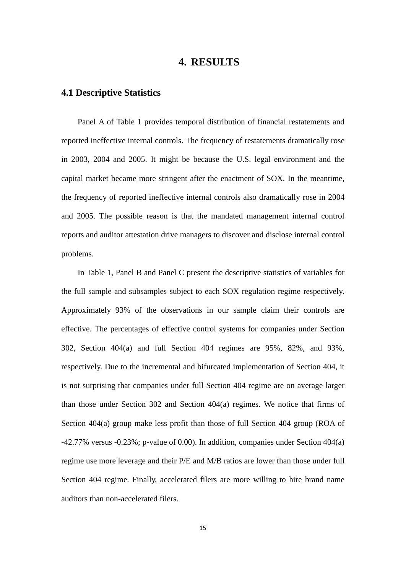# **4. RESULTS**

## **4.1 Descriptive Statistics**

Panel A of Table 1 provides temporal distribution of financial restatements and reported ineffective internal controls. The frequency of restatements dramatically rose in 2003, 2004 and 2005. It might be because the U.S. legal environment and the capital market became more stringent after the enactment of SOX. In the meantime, the frequency of reported ineffective internal controls also dramatically rose in 2004 and 2005. The possible reason is that the mandated management internal control reports and auditor attestation drive managers to discover and disclose internal control problems.

In Table 1, Panel B and Panel C present the descriptive statistics of variables for the full sample and subsamples subject to each SOX regulation regime respectively. Approximately 93% of the observations in our sample claim their controls are effective. The percentages of effective control systems for companies under Section 302, Section 404(a) and full Section 404 regimes are 95%, 82%, and 93%, respectively. Due to the incremental and bifurcated implementation of Section 404, it is not surprising that companies under full Section 404 regime are on average larger than those under Section 302 and Section 404(a) regimes. We notice that firms of Section 404(a) group make less profit than those of full Section 404 group (ROA of -42.77% versus -0.23%; p-value of 0.00). In addition, companies under Section 404(a) regime use more leverage and their P/E and M/B ratios are lower than those under full Section 404 regime. Finally, accelerated filers are more willing to hire brand name auditors than non-accelerated filers.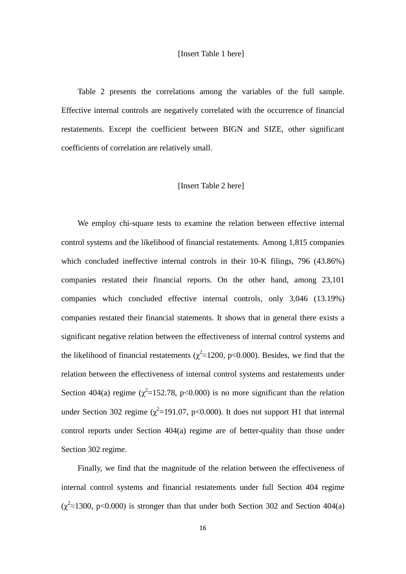Table 2 presents the correlations among the variables of the full sample. Effective internal controls are negatively correlated with the occurrence of financial restatements. Except the coefficient between BIGN and SIZE, other significant coefficients of correlation are relatively small.

#### [Insert Table 2 here]

 We employ chi-square tests to examine the relation between effective internal control systems and the likelihood of financial restatements. Among 1,815 companies which concluded ineffective internal controls in their 10-K filings, 796 (43.86%) companies restated their financial reports. On the other hand, among 23,101 companies which concluded effective internal controls, only 3,046 (13.19%) companies restated their financial statements. It shows that in general there exists a significant negative relation between the effectiveness of internal control systems and the likelihood of financial restatements ( $\chi^2 \approx 1200$ , p<0.000). Besides, we find that the relation between the effectiveness of internal control systems and restatements under Section 404(a) regime ( $\chi^2$ =152.78, p<0.000) is no more significant than the relation under Section 302 regime ( $\chi^2$ =191.07, p<0.000). It does not support H1 that internal control reports under Section 404(a) regime are of better-quality than those under Section 302 regime.

 Finally, we find that the magnitude of the relation between the effectiveness of internal control systems and financial restatements under full Section 404 regime  $(\chi^2 \approx 1300, \text{ p} < 0.000)$  is stronger than that under both Section 302 and Section 404(a)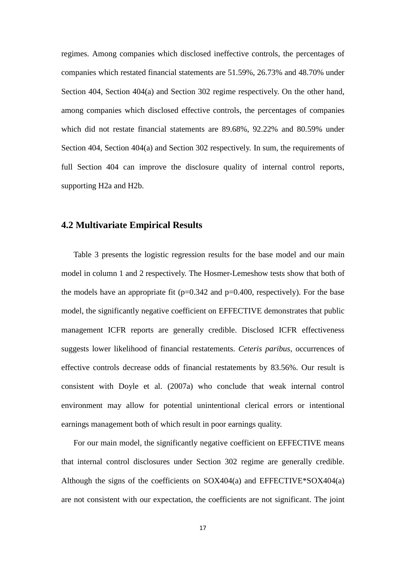regimes. Among companies which disclosed ineffective controls, the percentages of companies which restated financial statements are 51.59%, 26.73% and 48.70% under Section 404, Section 404(a) and Section 302 regime respectively. On the other hand, among companies which disclosed effective controls, the percentages of companies which did not restate financial statements are 89.68%, 92.22% and 80.59% under Section 404, Section 404(a) and Section 302 respectively. In sum, the requirements of full Section 404 can improve the disclosure quality of internal control reports, supporting H2a and H2b.

## **4.2 Multivariate Empirical Results**

Table 3 presents the logistic regression results for the base model and our main model in column 1 and 2 respectively. The Hosmer-Lemeshow tests show that both of the models have an appropriate fit  $(p=0.342$  and  $p=0.400$ , respectively). For the base model, the significantly negative coefficient on EFFECTIVE demonstrates that public management ICFR reports are generally credible. Disclosed ICFR effectiveness suggests lower likelihood of financial restatements. *Ceteris paribus*, occurrences of effective controls decrease odds of financial restatements by 83.56%. Our result is consistent with Doyle et al. (2007a) who conclude that weak internal control environment may allow for potential unintentional clerical errors or intentional earnings management both of which result in poor earnings quality.

For our main model, the significantly negative coefficient on EFFECTIVE means that internal control disclosures under Section 302 regime are generally credible. Although the signs of the coefficients on SOX404(a) and EFFECTIVE\*SOX404(a) are not consistent with our expectation, the coefficients are not significant. The joint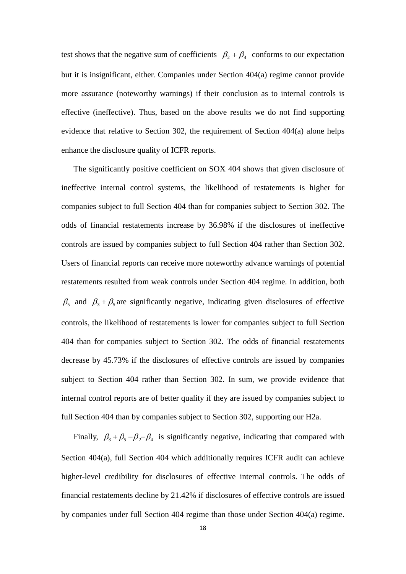test shows that the negative sum of coefficients  $\beta_2 + \beta_4$  conforms to our expectation but it is insignificant, either. Companies under Section 404(a) regime cannot provide more assurance (noteworthy warnings) if their conclusion as to internal controls is effective (ineffective). Thus, based on the above results we do not find supporting evidence that relative to Section 302, the requirement of Section 404(a) alone helps enhance the disclosure quality of ICFR reports.

The significantly positive coefficient on SOX 404 shows that given disclosure of ineffective internal control systems, the likelihood of restatements is higher for companies subject to full Section 404 than for companies subject to Section 302. The odds of financial restatements increase by 36.98% if the disclosures of ineffective controls are issued by companies subject to full Section 404 rather than Section 302. Users of financial reports can receive more noteworthy advance warnings of potential restatements resulted from weak controls under Section 404 regime. In addition, both  $\beta_5$  and  $\beta_3 + \beta_5$  are significantly negative, indicating given disclosures of effective controls, the likelihood of restatements is lower for companies subject to full Section 404 than for companies subject to Section 302. The odds of financial restatements decrease by 45.73% if the disclosures of effective controls are issued by companies subject to Section 404 rather than Section 302. In sum, we provide evidence that internal control reports are of better quality if they are issued by companies subject to full Section 404 than by companies subject to Section 302, supporting our H2a.

Finally,  $\beta_3 + \beta_5 - \beta_2 - \beta_4$  is significantly negative, indicating that compared with Section 404(a), full Section 404 which additionally requires ICFR audit can achieve higher-level credibility for disclosures of effective internal controls. The odds of financial restatements decline by 21.42% if disclosures of effective controls are issued by companies under full Section 404 regime than those under Section 404(a) regime.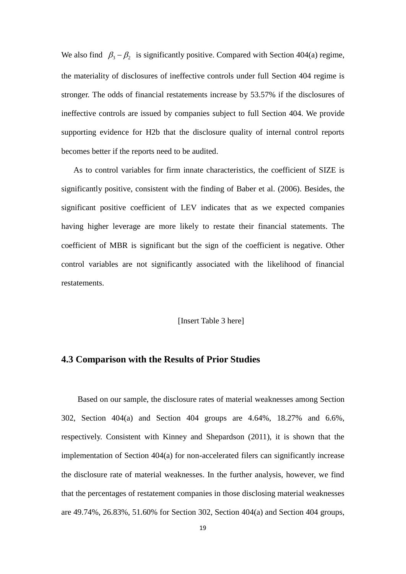We also find  $\beta_3 - \beta_2$  is significantly positive. Compared with Section 404(a) regime, the materiality of disclosures of ineffective controls under full Section 404 regime is stronger. The odds of financial restatements increase by 53.57% if the disclosures of ineffective controls are issued by companies subject to full Section 404. We provide supporting evidence for H2b that the disclosure quality of internal control reports becomes better if the reports need to be audited.

As to control variables for firm innate characteristics, the coefficient of SIZE is significantly positive, consistent with the finding of Baber et al. (2006). Besides, the significant positive coefficient of LEV indicates that as we expected companies having higher leverage are more likely to restate their financial statements. The coefficient of MBR is significant but the sign of the coefficient is negative. Other control variables are not significantly associated with the likelihood of financial restatements.

[Insert Table 3 here]

## **4.3 Comparison with the Results of Prior Studies**

Based on our sample, the disclosure rates of material weaknesses among Section 302, Section 404(a) and Section 404 groups are 4.64%, 18.27% and 6.6%, respectively. Consistent with Kinney and Shepardson (2011), it is shown that the implementation of Section 404(a) for non-accelerated filers can significantly increase the disclosure rate of material weaknesses. In the further analysis, however, we find that the percentages of restatement companies in those disclosing material weaknesses are 49.74%, 26.83%, 51.60% for Section 302, Section 404(a) and Section 404 groups,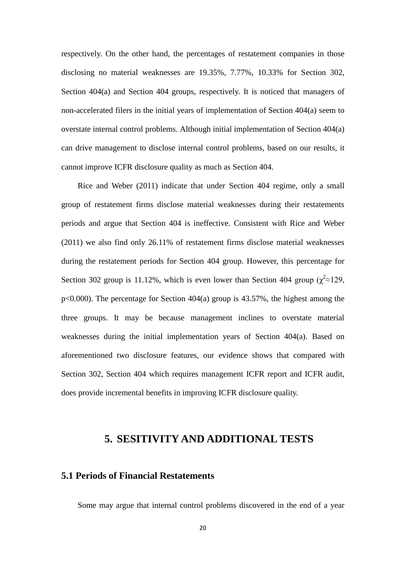respectively. On the other hand, the percentages of restatement companies in those disclosing no material weaknesses are 19.35%, 7.77%, 10.33% for Section 302, Section 404(a) and Section 404 groups, respectively. It is noticed that managers of non-accelerated filers in the initial years of implementation of Section 404(a) seem to overstate internal control problems. Although initial implementation of Section 404(a) can drive management to disclose internal control problems, based on our results, it cannot improve ICFR disclosure quality as much as Section 404.

 Rice and Weber (2011) indicate that under Section 404 regime, only a small group of restatement firms disclose material weaknesses during their restatements periods and argue that Section 404 is ineffective. Consistent with Rice and Weber (2011) we also find only 26.11% of restatement firms disclose material weaknesses during the restatement periods for Section 404 group. However, this percentage for Section 302 group is 11.12%, which is even lower than Section 404 group ( $\chi^2 \approx 129$ , p<0.000). The percentage for Section 404(a) group is 43.57%, the highest among the three groups. It may be because management inclines to overstate material weaknesses during the initial implementation years of Section 404(a). Based on aforementioned two disclosure features, our evidence shows that compared with Section 302, Section 404 which requires management ICFR report and ICFR audit, does provide incremental benefits in improving ICFR disclosure quality.

# **5. SESITIVITY AND ADDITIONAL TESTS**

# **5.1 Periods of Financial Restatements**

Some may argue that internal control problems discovered in the end of a year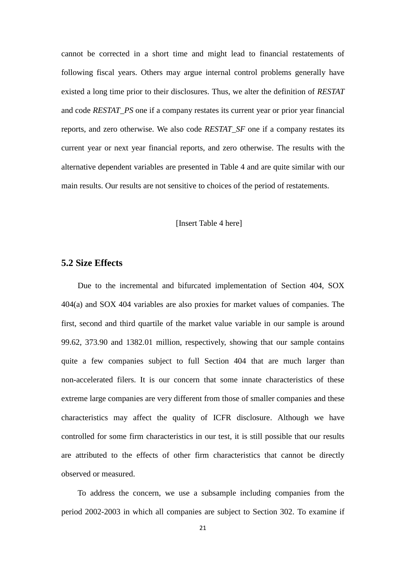cannot be corrected in a short time and might lead to financial restatements of following fiscal years. Others may argue internal control problems generally have existed a long time prior to their disclosures. Thus, we alter the definition of *RESTAT* and code *RESTAT\_PS* one if a company restates its current year or prior year financial reports, and zero otherwise. We also code *RESTAT\_SF* one if a company restates its current year or next year financial reports, and zero otherwise. The results with the alternative dependent variables are presented in Table 4 and are quite similar with our main results. Our results are not sensitive to choices of the period of restatements.

#### [Insert Table 4 here]

# **5.2 Size Effects**

Due to the incremental and bifurcated implementation of Section 404, SOX 404(a) and SOX 404 variables are also proxies for market values of companies. The first, second and third quartile of the market value variable in our sample is around 99.62, 373.90 and 1382.01 million, respectively, showing that our sample contains quite a few companies subject to full Section 404 that are much larger than non-accelerated filers. It is our concern that some innate characteristics of these extreme large companies are very different from those of smaller companies and these characteristics may affect the quality of ICFR disclosure. Although we have controlled for some firm characteristics in our test, it is still possible that our results are attributed to the effects of other firm characteristics that cannot be directly observed or measured.

 To address the concern, we use a subsample including companies from the period 2002-2003 in which all companies are subject to Section 302. To examine if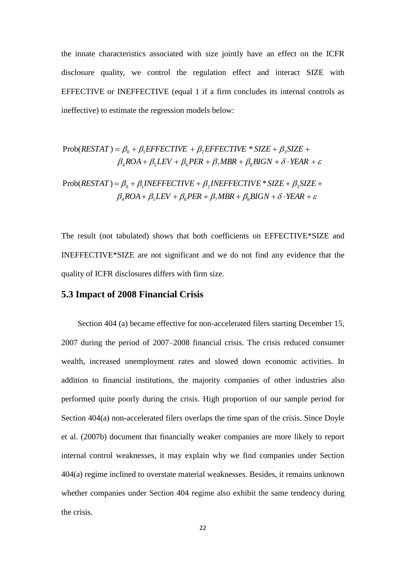the innate characteristics associated with size jointly have an effect on the ICFR disclosure quality, we control the regulation effect and interact SIZE with EFFECTIVE or INEFFECTIVE (equal 1 if a firm concludes its internal controls as ineffective) to estimate the regression models below:

$$
Prob(RESTAT) = \beta_0 + \beta_1 EFFECTIVE + \beta_2 EFFECTIVE * SIZE + \beta_3 SIZE + \beta_4 ROA + \beta_5LEV + \beta_6 PER + \beta_7 MBR + \beta_8 BIGN + \delta \cdot YEAR + \varepsilon
$$

 $\beta_4ROA + \beta_5LEV + \beta_6PER + \beta_7MBR + \beta_8BIGN + \delta \cdot YEAR + \varepsilon$  $Prob(RESTAT) = \beta_0 + \beta_1 INEFFECTIVE + \beta_2 INEFFECTIVE * SIZE + \beta_3 SIZE +$ 

The result (not tabulated) shows that both coefficients on EFFECTIVE\*SIZE and INEFFECTIVE\*SIZE are not significant and we do not find any evidence that the quality of ICFR disclosures differs with firm size.

## **5.3 Impact of 2008 Financial Crisis**

 Section 404 (a) became effective for non-accelerated filers starting December 15, 2007 during the period of 2007–2008 financial crisis. The crisis reduced consumer wealth, increased unemployment rates and slowed down economic activities. In addition to financial institutions, the majority companies of other industries also performed quite poorly during the crisis. High proportion of our sample period for Section 404(a) non-accelerated filers overlaps the time span of the crisis. Since Doyle et al. (2007b) document that financially weaker companies are more likely to report internal control weaknesses, it may explain why we find companies under Section 404(a) regime inclined to overstate material weaknesses. Besides, it remains unknown whether companies under Section 404 regime also exhibit the same tendency during the crisis.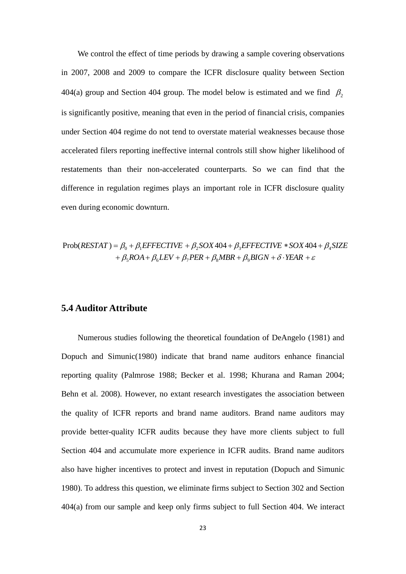We control the effect of time periods by drawing a sample covering observations in 2007, 2008 and 2009 to compare the ICFR disclosure quality between Section 404(a) group and Section 404 group. The model below is estimated and we find  $\beta_2$ is significantly positive, meaning that even in the period of financial crisis, companies under Section 404 regime do not tend to overstate material weaknesses because those accelerated filers reporting ineffective internal controls still show higher likelihood of restatements than their non-accelerated counterparts. So we can find that the difference in regulation regimes plays an important role in ICFR disclosure quality even during economic downturn.

$$
Prob(RESTAT) = \beta_0 + \beta_1 EFFECTIVE + \beta_2SOX404 + \beta_3 EFFECTIVE * SOX404 + \beta_4 SIZE
$$
  
+  $\beta_5ROA + \beta_6LEV + \beta_7PER + \beta_8MBR + \beta_9BIGN + \delta \cdot YEAR + \varepsilon$ 

# **5.4 Auditor Attribute**

 Numerous studies following the theoretical foundation of DeAngelo (1981) and Dopuch and Simunic(1980) indicate that brand name auditors enhance financial reporting quality (Palmrose 1988; Becker et al. 1998; Khurana and Raman 2004; Behn et al. 2008). However, no extant research investigates the association between the quality of ICFR reports and brand name auditors. Brand name auditors may provide better-quality ICFR audits because they have more clients subject to full Section 404 and accumulate more experience in ICFR audits. Brand name auditors also have higher incentives to protect and invest in reputation (Dopuch and Simunic 1980). To address this question, we eliminate firms subject to Section 302 and Section 404(a) from our sample and keep only firms subject to full Section 404. We interact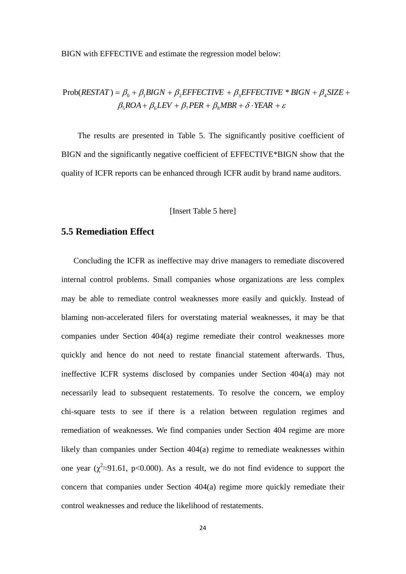BIGN with EFFECTIVE and estimate the regression model below:

# $\beta_5ROA + \beta_6LEV + \beta_7PER + \beta_8MBR + \delta \cdot YEAR + \varepsilon$  $Prob(RESTAT) = \beta_0 + \beta_1 BIGN + \beta_2 EFFECTIVE + \beta_3 EFFECTIVE * BIGN + \beta_4 SIZE +$

 The results are presented in Table 5. The significantly positive coefficient of BIGN and the significantly negative coefficient of EFFECTIVE\*BIGN show that the quality of ICFR reports can be enhanced through ICFR audit by brand name auditors.

#### [Insert Table 5 here]

### **5.5 Remediation Effect**

 Concluding the ICFR as ineffective may drive managers to remediate discovered internal control problems. Small companies whose organizations are less complex may be able to remediate control weaknesses more easily and quickly. Instead of blaming non-accelerated filers for overstating material weaknesses, it may be that companies under Section 404(a) regime remediate their control weaknesses more quickly and hence do not need to restate financial statement afterwards. Thus, ineffective ICFR systems disclosed by companies under Section 404(a) may not necessarily lead to subsequent restatements. To resolve the concern, we employ chi-square tests to see if there is a relation between regulation regimes and remediation of weaknesses. We find companies under Section 404 regime are more likely than companies under Section 404(a) regime to remediate weaknesses within one year ( $\chi^2 \approx 91.61$ , p<0.000). As a result, we do not find evidence to support the concern that companies under Section 404(a) regime more quickly remediate their control weaknesses and reduce the likelihood of restatements.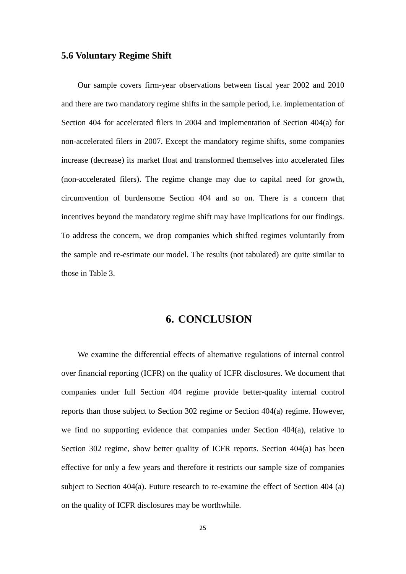# **5.6 Voluntary Regime Shift**

 Our sample covers firm-year observations between fiscal year 2002 and 2010 and there are two mandatory regime shifts in the sample period, i.e. implementation of Section 404 for accelerated filers in 2004 and implementation of Section 404(a) for non-accelerated filers in 2007. Except the mandatory regime shifts, some companies increase (decrease) its market float and transformed themselves into accelerated files (non-accelerated filers). The regime change may due to capital need for growth, circumvention of burdensome Section 404 and so on. There is a concern that incentives beyond the mandatory regime shift may have implications for our findings. To address the concern, we drop companies which shifted regimes voluntarily from the sample and re-estimate our model. The results (not tabulated) are quite similar to those in Table 3.

# **6. CONCLUSION**

We examine the differential effects of alternative regulations of internal control over financial reporting (ICFR) on the quality of ICFR disclosures. We document that companies under full Section 404 regime provide better-quality internal control reports than those subject to Section 302 regime or Section 404(a) regime. However, we find no supporting evidence that companies under Section 404(a), relative to Section 302 regime, show better quality of ICFR reports. Section 404(a) has been effective for only a few years and therefore it restricts our sample size of companies subject to Section 404(a). Future research to re-examine the effect of Section 404 (a) on the quality of ICFR disclosures may be worthwhile.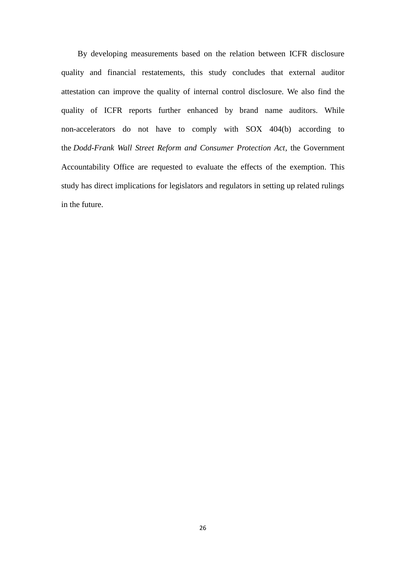By developing measurements based on the relation between ICFR disclosure quality and financial restatements, this study concludes that external auditor attestation can improve the quality of internal control disclosure. We also find the quality of ICFR reports further enhanced by brand name auditors. While non-accelerators do not have to comply with SOX 404(b) according to the *Dodd-Frank Wall Street Reform and Consumer Protection Act,* the Government Accountability Office are requested to evaluate the effects of the exemption. This study has direct implications for legislators and regulators in setting up related rulings in the future.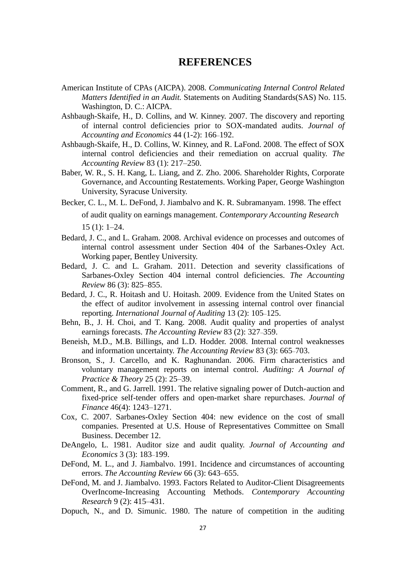# **REFERENCES**

- American Institute of CPAs (AICPA). 2008. *Communicating Internal Control Related Matters Identified in an Audit.* Statements on Auditing Standards(SAS) No. 115. Washington, D. C.: AICPA.
- Ashbaugh-Skaife, H., D. Collins, and W. Kinney. 2007. The discovery and reporting of internal control deficiencies prior to SOX-mandated audits. *Journal of Accounting and Economics* 44 (1-2): 166–192.
- Ashbaugh-Skaife, H., D. Collins, W. Kinney, and R. LaFond. 2008. The effect of SOX internal control deficiencies and their remediation on accrual quality. *The Accounting Review* 83 (1): 217–250.
- Baber, W. R., S. H. Kang, L. Liang, and Z. Zho. 2006. Shareholder Rights, Corporate Governance, and Accounting Restatements. Working Paper, George Washington University, Syracuse University.
- Becker, C. L., M. L. DeFond, J. Jiambalvo and K. R. Subramanyam. 1998. The effect of audit quality on earnings management. *Contemporary Accounting Research* 15 (1): 1–24.
- Bedard, J. C., and L. Graham. 2008. Archival evidence on processes and outcomes of internal control assessment under Section 404 of the Sarbanes-Oxley Act. Working paper, Bentley University.
- Bedard, J. C. and L. Graham. 2011. Detection and severity classifications of Sarbanes-Oxley Section 404 internal control deficiencies. *The Accounting Review* 86 (3): 825–855.
- Bedard, J. C., R. Hoitash and U. Hoitash. 2009. Evidence from the United States on the effect of auditor involvement in assessing internal control over financial reporting. *International Journal of Auditing* 13 (2): 105–125.
- Behn, B., J. H. Choi, and T. Kang. 2008. Audit quality and properties of analyst earnings forecasts. *The Accounting Review* 83 (2): 327–359.
- Beneish, M.D., M.B. Billings, and L.D. Hodder. 2008. Internal control weaknesses and information uncertainty. *The Accounting Review* 83 (3): 665–703.
- Bronson, S., J. Carcello, and K. Raghunandan. 2006. Firm characteristics and voluntary management reports on internal control. *Auditing: A Journal of Practice & Theory* 25 (2): 25–39.
- Comment, R., and G. Jarrell. 1991. The relative signaling power of Dutch-auction and fixed-price self-tender offers and open-market share repurchases. *Journal of Finance* 46(4): 1243–1271.
- Cox, C. 2007. Sarbanes-Oxley Section 404: new evidence on the cost of small companies. Presented at U.S. House of Representatives Committee on Small Business. December 12.
- DeAngelo, L. 1981. Auditor size and audit quality. *Journal of Accounting and Economics* 3 (3): 183–199.
- DeFond, M. L., and J. Jiambalvo. 1991. Incidence and circumstances of accounting errors. *The Accounting Review* 66 (3): 643–655.
- DeFond, M. and J. Jiambalvo. 1993. Factors Related to Auditor-Client Disagreements OverIncome-Increasing Accounting Methods. *Contemporary Accounting Research* 9 (2): 415–431.
- Dopuch, N., and D. Simunic. 1980. The nature of competition in the auditing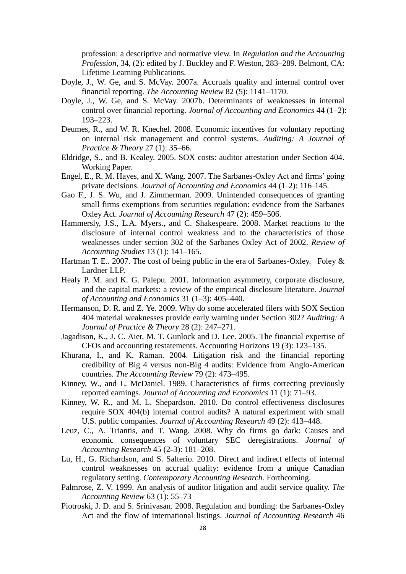profession: a descriptive and normative view. In *Regulation and the Accounting Profession*, 34, (2): edited by J. Buckley and F. Weston, 283–289. Belmont, CA: Lifetime Learning Publications.

- Doyle, J., W. Ge, and S. McVay. 2007a. Accruals quality and internal control over financial reporting. *The Accounting Review* 82 (5): 1141–1170.
- Doyle, J., W. Ge, and S. McVay. 2007b. Determinants of weaknesses in internal control over financial reporting. *Journal of Accounting and Economics* 44 (1–2): 193–223.
- Deumes, R., and W. R. Knechel. 2008. Economic incentives for voluntary reporting on internal risk management and control systems. *Auditing: A Journal of Practice & Theory* 27 (1): 35–66.
- Eldridge, S., and B. Kealey. 2005. SOX costs: auditor attestation under Section 404. Working Paper.
- Engel, E., R. M. Hayes, and X. Wang. 2007. The Sarbanes-Oxley Act and firms' going private decisions. *Journal of Accounting and Economics* 44 (1–2): 116–145.
- Gao F., J. S. Wu, and J. Zimmerman. 2009. Unintended consequences of granting small firms exemptions from securities regulation: evidence from the Sarbanes Oxley Act. *Journal of Accounting Research* 47 (2): 459–506.
- Hammersly, J.S., L.A. Myers., and C. Shakespeare. 2008. Market reactions to the disclosure of internal control weakness and to the characteristics of those weaknesses under section 302 of the Sarbanes Oxley Act of 2002. *Review of Accounting Studies* 13 (1): 141–165.
- Hartman T. E.. 2007. The cost of being public in the era of Sarbanes-Oxley. Foley  $\&$ Lardner LLP.
- Healy P. M. and K. G. Palepu. 2001. Information asymmetry, corporate disclosure, and the capital markets: a review of the empirical disclosure literature. *Journal of Accounting and Economics* 31 (1–3): 405–440.
- Hermanson, D. R. and Z. Ye. 2009. Why do some accelerated filers with SOX Section 404 material weaknesses provide early warning under Section 302? *Auditing: A Journal of Practice & Theory* 28 (2): 247–271.
- Jagadison, K., J. C. Aier, M. T. Gunlock and D. Lee. 2005. The financial expertise of CFOs and accounting restatements. Accounting Horizons 19 (3): 123–135.
- Khurana, I., and K. Raman. 2004. Litigation risk and the financial reporting credibility of Big 4 versus non-Big 4 audits: Evidence from Anglo-American countries. *The Accounting Review* 79 (2): 473–495.
- Kinney, W., and L. McDaniel. 1989. Characteristics of firms correcting previously reported earnings. *Journal of Accounting and Economics* 11 (1): 71–93.
- Kinney, W. R., and M. L. Shepardson. 2010. Do control effectiveness disclosures require SOX 404(b) internal control audits? A natural experiment with small U.S. public companies. *Journal of Accounting Research* 49 (2): 413–448.
- Leuz, C., A. Triantis, and T. Wang. 2008. Why do firms go dark: Causes and economic consequences of voluntary SEC deregistrations. *Journal of Accounting Research* 45 (2–3): 181–208.
- Lu, H., G. Richardson, and S. Salterio. 2010. Direct and indirect effects of internal control weaknesses on accrual quality: evidence from a unique Canadian regulatory setting. *Contemporary Accounting Research.* Forthcoming.
- Palmrose, Z. V. 1999. An analysis of auditor litigation and audit service quality. *The Accounting Review* 63 (1): 55–73
- Piotroski, J. D. and S. Srinivasan. 2008. Regulation and bonding: the Sarbanes-Oxley Act and the flow of international listings. *Journal of Accounting Research* 46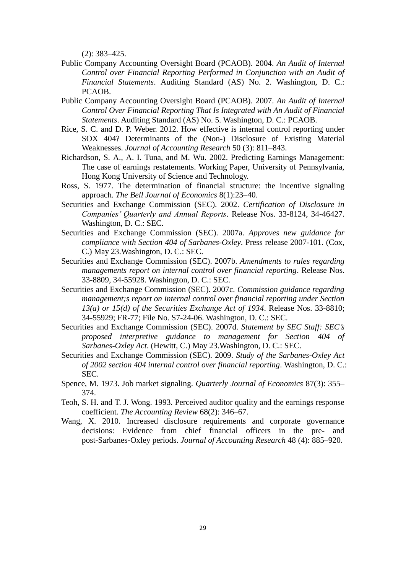(2): 383–425.

- Public Company Accounting Oversight Board (PCAOB). 2004. *An Audit of Internal Control over Financial Reporting Performed in Conjunction with an Audit of Financial Statements*. Auditing Standard (AS) No. 2. Washington, D. C.: PCAOB.
- Public Company Accounting Oversight Board (PCAOB). 2007. *An Audit of Internal Control Over Financial Reporting That Is Integrated with An Audit of Financial Statements*. Auditing Standard (AS) No. 5. Washington, D. C.: PCAOB.
- Rice, S. C. and D. P. Weber. 2012. How effective is internal control reporting under SOX 404? Determinants of the (Non-) Disclosure of Existing Material Weaknesses. *Journal of Accounting Research* 50 (3): 811–843.
- Richardson, S. A., A. I. Tuna, and M. Wu. 2002. Predicting Earnings Management: The case of earnings restatements. Working Paper, University of Pennsylvania, Hong Kong University of Science and Technology.
- Ross, S. 1977. The determination of financial structure: the incentive signaling approach. *The Bell Journal of Economics* 8(1):23–40.
- Securities and Exchange Commission (SEC). 2002. *Certification of Disclosure in Companies' Quarterly and Annual Reports*. Release Nos. 33-8124, 34-46427. Washington, D. C.: SEC.
- Securities and Exchange Commission (SEC). 2007a. *Approves new guidance for compliance with Section 404 of Sarbanes-Oxley*. Press release 2007-101. (Cox, C.) May 23.Washington, D. C.: SEC.
- Securities and Exchange Commission (SEC). 2007b. *Amendments to rules regarding managements report on internal control over financial reporting*. Release Nos. 33-8809, 34-55928. Washington, D. C.: SEC.
- Securities and Exchange Commission (SEC). 2007c. *Commission guidance regarding management;s report on internal control over financial reporting under Section 13(a) or 15(d) of the Securities Exchange Act of 1934*. Release Nos. 33-8810; 34-55929; FR-77; File No. S7-24-06. Washington, D. C.: SEC.
- Securities and Exchange Commission (SEC). 2007d. *Statement by SEC Staff: SEC's proposed interpretive guidance to management for Section 404 of Sarbanes-Oxley Act*. (Hewitt, C.) May 23.Washington, D. C.: SEC.
- Securities and Exchange Commission (SEC). 2009. *Study of the Sarbanes-Oxley Act of 2002 section 404 internal control over financial reporting*. Washington, D. C.: SEC.
- Spence, M. 1973. Job market signaling. *Quarterly Journal of Economics* 87(3): 355– 374.
- Teoh, S. H. and T. J. Wong. 1993. Perceived auditor quality and the earnings response coefficient. *The Accounting Review* 68(2): 346–67.
- Wang, X. 2010. Increased disclosure requirements and corporate governance decisions: Evidence from chief financial officers in the pre- and post-Sarbanes-Oxley periods. *Journal of Accounting Research* 48 (4): 885–920.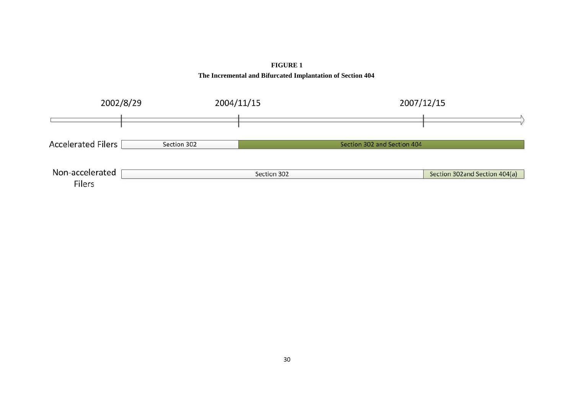

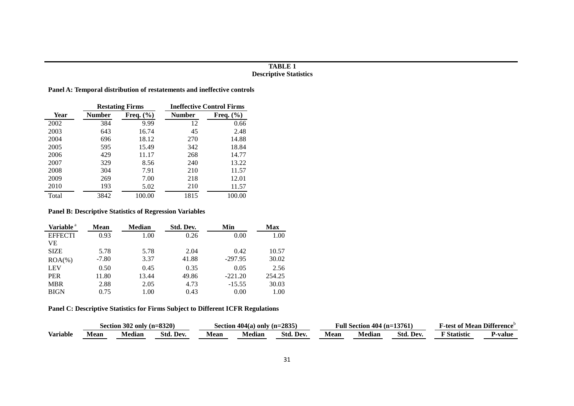#### **TABLE 1 Descriptive Statistics**

**Panel A: Temporal distribution of restatements and ineffective controls**

| <b>Restating Firms</b> |               |               | <b>Ineffective Control Firms</b> |               |  |  |
|------------------------|---------------|---------------|----------------------------------|---------------|--|--|
| <b>Year</b>            | <b>Number</b> | Freq. $(\% )$ | <b>Number</b>                    | Freq. $(\% )$ |  |  |
| 2002                   | 384           | 9.99          | 12                               | 0.66          |  |  |
| 2003                   | 643           | 16.74         | 45                               | 2.48          |  |  |
| 2004                   | 696           | 18.12         | 270                              | 14.88         |  |  |
| 2005                   | 595           | 15.49         | 342                              | 18.84         |  |  |
| 2006                   | 429           | 11.17         | 268                              | 14.77         |  |  |
| 2007                   | 329           | 8.56          | 240                              | 13.22         |  |  |
| 2008                   | 304           | 7.91          | 210                              | 11.57         |  |  |
| 2009                   | 269           | 7.00          | 218                              | 12.01         |  |  |
| 2010                   | 193           | 5.02          | 210                              | 11.57         |  |  |
| Total                  | 3842          | 100.00        | 1815                             | 100.00        |  |  |

#### **Panel B: Descriptive Statistics of Regression Variables**

| Variable <sup>a</sup> | <b>Mean</b> | <b>Median</b> | Std. Dev. | Min       | Max    |
|-----------------------|-------------|---------------|-----------|-----------|--------|
| <b>EFFECTI</b>        | 0.93        | 1.00          | 0.26      | 0.00      | 1.00   |
| VЕ                    |             |               |           |           |        |
| <b>SIZE</b>           | 5.78        | 5.78          | 2.04      | 0.42      | 10.57  |
| $ROA(\%)$             | $-7.80$     | 3.37          | 41.88     | $-297.95$ | 30.02  |
| LEV                   | 0.50        | 0.45          | 0.35      | 0.05      | 2.56   |
| <b>PER</b>            | 11.80       | 13.44         | 49.86     | $-221.20$ | 254.25 |
| <b>MBR</b>            | 2.88        | 2.05          | 4.73      | $-15.55$  | 30.03  |
| <b>BIGN</b>           | 0.75        | 1.00          | 0.43      | 0.00      | 1.00   |

**Panel C: Descriptive Statistics for Firms Subject to Different ICFR Regulations**

|                 | Section 302 only (n=8320) |        |           | $(n=2835)$<br>Section 404(a) only |         | Full Section $404$ (n=13761) |             |                          | 'Mean Difference<br>±est of ∍ |                    |         |
|-----------------|---------------------------|--------|-----------|-----------------------------------|---------|------------------------------|-------------|--------------------------|-------------------------------|--------------------|---------|
| <b>Variable</b> | vlean                     | Median | Std. Dev. | Mean                              | Vledian | Std. Dev.                    | <b>Mean</b> | $\blacksquare$<br>Median | Std. Dev.                     | $\nabla$ Statistic | '∙value |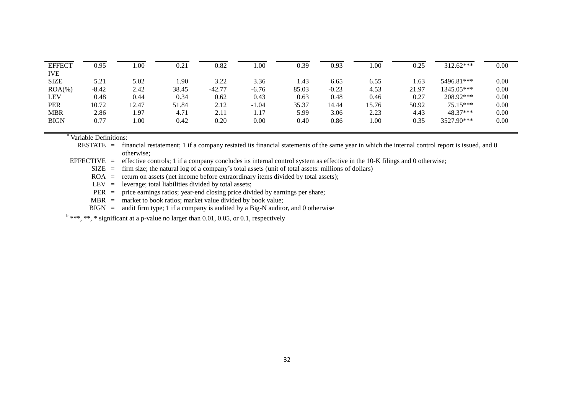| <b>EFFECT</b>             | 0.95    | 0.00  | 0.21  | 0.82     | .00     | 0.39         | 0.93    | 00.1     | 0.25  | 312.62***              | 0.00 |
|---------------------------|---------|-------|-------|----------|---------|--------------|---------|----------|-------|------------------------|------|
| <b>IVE</b><br><b>SIZE</b> | 5.21    | 5.02  | .90   | 3.22     | 3.36    | 1.43         | 6.65    | 6.55     | 1.63  | 5496.81***             | 0.00 |
| $ROA(\%)$                 | $-8.42$ | 2.42  | 38.45 | $-42.77$ | $-6.76$ | 85.03        | $-0.23$ | 4.53     | 21.97 | 1345.05***             | 0.00 |
| <b>LEV</b>                | 0.48    | 0.44  | 0.34  | 0.62     | 0.43    | 0.63         | 0.48    | 0.46     | 0.27  | 208.92***              | 0.00 |
| <b>PER</b>                | 10.72   | 12.47 | 51.84 | 2.12     | $-1.04$ | 35.37        | 14.44   | 15.76    | 50.92 | $75.15***$             | 0.00 |
| <b>MBR</b><br><b>BIGN</b> | 2.86    | 1.97  | 4.71  | 2.11     | 1.17    | 5.99<br>0.40 | 3.06    | 2.23     | 4.43  | 48.37***<br>3527.90*** | 0.00 |
|                           | 0.77    | 1.00  | 0.42  | 0.20     | 0.00    |              | 0.86    | $1.00\,$ | 0.35  |                        | 0.00 |

<sup>a</sup> Variable Definitions:

RESTATE = financial restatement; 1 if a company restated its financial statements of the same year in which the internal control report is issued, and 0 otherwise;

EFFECTIVE = effective controls; 1 if a company concludes its internal control system as effective in the 10-K filings and 0 otherwise;

SIZE = firm size; the natural log of a company's total assets (unit of total assets: millions of dollars)

 $ROA =$  return on assets (net income before extraordinary items divided by total assets);

LEV  $=$  leverage; total liabilities divided by total assets;

PER = price earnings ratios; year-end closing price divided by earnings per share;

 $MBR =$  market to book ratios; market value divided by book value;

 $BIGN = \text{audit firm type}; 1 \text{ if a company is audited by a Big-N auditory, and 0 otherwise}$ 

 $^{\text{b}}$  \*\*\*, \*\*, \* significant at a p-value no larger than 0.01, 0.05, or 0.1, respectively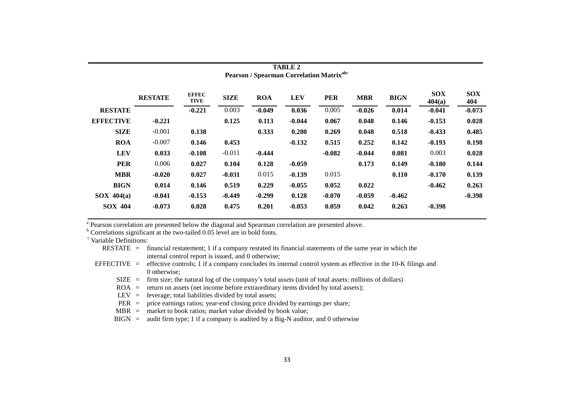| Pearson / Spearman Correlation Matrix <sup>abc</sup> |                |                             |             |            |            |            |            |             |                      |                   |
|------------------------------------------------------|----------------|-----------------------------|-------------|------------|------------|------------|------------|-------------|----------------------|-------------------|
|                                                      | <b>RESTATE</b> | <b>EFFEC</b><br><b>TIVE</b> | <b>SIZE</b> | <b>ROA</b> | <b>LEV</b> | <b>PER</b> | <b>MBR</b> | <b>BIGN</b> | <b>SOX</b><br>404(a) | <b>SOX</b><br>404 |
| <b>RESTATE</b>                                       |                | $-0.221$                    | 0.003       | $-0.049$   | 0.036      | 0.005      | $-0.026$   | 0.014       | $-0.041$             | $-0.073$          |
| <b>EFFECTIVE</b>                                     | $-0.221$       |                             | 0.125       | 0.113      | $-0.044$   | 0.067      | 0.048      | 0.146       | $-0.153$             | 0.028             |
| <b>SIZE</b>                                          | $-0.001$       | 0.138                       |             | 0.333      | 0.280      | 0.269      | 0.048      | 0.518       | $-0.433$             | 0.485             |
| <b>ROA</b>                                           | $-0.007$       | 0.146                       | 0.453       |            | $-0.132$   | 0.515      | 0.252      | 0.142       | $-0.193$             | 0.198             |
| <b>LEV</b>                                           | 0.033          | $-0.108$                    | $-0.011$    | $-0.444$   |            | $-0.082$   | $-0.044$   | 0.081       | 0.003                | 0.028             |
| <b>PER</b>                                           | 0.006          | 0.027                       | 0.104       | 0.128      | $-0.059$   |            | 0.173      | 0.149       | $-0.180$             | 0.144             |
| <b>MBR</b>                                           | $-0.020$       | 0.027                       | $-0.031$    | 0.015      | $-0.139$   | 0.015      |            | 0.110       | $-0.170$             | 0.139             |
| <b>BIGN</b>                                          | 0.014          | 0.146                       | 0.519       | 0.229      | $-0.055$   | 0.052      | 0.022      |             | $-0.462$             | 0.263             |
| $SOX$ 404(a)                                         | $-0.041$       | $-0.153$                    | $-0.449$    | $-0.299$   | 0.128      | $-0.070$   | $-0.059$   | $-0.462$    |                      | $-0.398$          |
| <b>SOX 404</b>                                       | $-0.073$       | 0.028                       | 0.475       | 0.201      | $-0.053$   | 0.059      | 0.042      | 0.263       | $-0.398$             |                   |

**TABLE 2**

<sup>a</sup> Pearson correlation are presented below the diagonal and Spearman correlation are presented above.

 $b$  Correlations significant at the two-tailed 0.05 level are in bold fonts.

<sup>c</sup> Variable Definitions:

|  | RESTATE = financial restatement; 1 if a company restated its financial statements of the same year in which the           |
|--|---------------------------------------------------------------------------------------------------------------------------|
|  | internal control report is issued, and 0 otherwise;                                                                       |
|  | EFFECTIVE = effective controls; 1 if a company concludes its internal control system as effective in the 10-K filings and |
|  | 0 otherwise:                                                                                                              |
|  | $\text{SIZE}$ = firm size; the natural log of the company's total assets (unit of total assets: millions of dollars)      |
|  | $ROA$ = return on assets (net income before extraordinary items divided by total assets);                                 |
|  | $LEV =$ leverage; total liabilities divided by total assets;                                                              |
|  | $PER = price earnings ratios; year-end closing price divided by earnings per share;$                                      |
|  | $MBR$ = market to book ratios; market value divided by book value;                                                        |
|  | $\text{BIGN}$ = audit firm type; 1 if a company is audited by a Big-N auditor, and 0 otherwise                            |
|  |                                                                                                                           |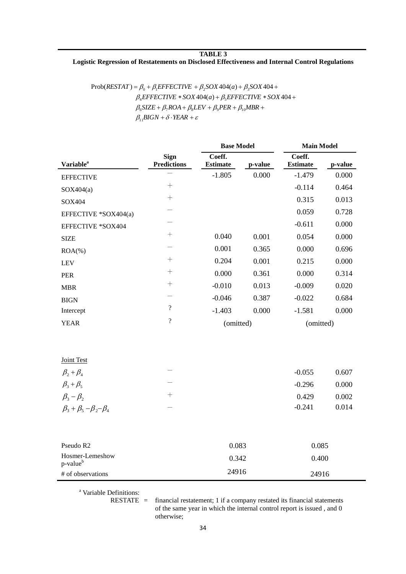#### **TABLE 3 Logistic Regression of Restatements on Disclosed Effectiveness and Internal Control Regulations**

| $Prob(RESTAT) = \beta_0 + \beta_1 EFFECTIVE + \beta_2 SOX 404(a) + \beta_3 SOX 404 +$ |
|---------------------------------------------------------------------------------------|
| $\beta_{A}$ EFFECTIVE * SOX 404(a) + $\beta_{5}$ EFFECTIVE * SOX 404 +                |
| $\beta_6$ SIZE + $\beta_7ROA + \beta_8LEV + \beta_9PER + \beta_{10}MBR +$             |
| $\beta_1$ BIGN + $\delta$ · YEAR + $\varepsilon$                                      |

|                              |                                   | <b>Base Model</b>         |         | <b>Main Model</b>         |         |  |
|------------------------------|-----------------------------------|---------------------------|---------|---------------------------|---------|--|
| <b>Variable</b> <sup>a</sup> | <b>Sign</b><br><b>Predictions</b> | Coeff.<br><b>Estimate</b> | p-value | Coeff.<br><b>Estimate</b> | p-value |  |
| <b>EFFECTIVE</b>             |                                   | $-1.805$                  | 0.000   | $-1.479$                  | 0.000   |  |
| SOX404(a)                    | $^{+}$                            |                           |         | $-0.114$                  | 0.464   |  |
| SOX404                       | $^{+}$                            |                           |         | 0.315                     | 0.013   |  |
| EFFECTIVE *SOX404(a)         | $\overline{\phantom{0}}$          |                           |         | 0.059                     | 0.728   |  |
| EFFECTIVE *SOX404            |                                   |                           |         | $-0.611$                  | 0.000   |  |
| <b>SIZE</b>                  | $\! +$                            | 0.040                     | 0.001   | 0.054                     | 0.000   |  |
| $ROA(\%)$                    |                                   | 0.001                     | 0.365   | 0.000                     | 0.696   |  |
| <b>LEV</b>                   | $^+$                              | 0.204                     | 0.001   | 0.215                     | 0.000   |  |
| <b>PER</b>                   | $^{+}$                            | 0.000                     | 0.361   | 0.000                     | 0.314   |  |
| <b>MBR</b>                   | $^{+}$                            | $-0.010$                  | 0.013   | $-0.009$                  | 0.020   |  |
| <b>BIGN</b>                  | $\overline{\phantom{0}}$          | $-0.046$                  | 0.387   | $-0.022$                  | 0.684   |  |
| Intercept                    | $\overline{\cdot}$                | $-1.403$                  | 0.000   | $-1.581$                  | 0.000   |  |
| <b>YEAR</b>                  | $\overline{\mathcal{L}}$          | (omitted)                 |         | (omitted)                 |         |  |
|                              |                                   |                           |         |                           |         |  |
|                              |                                   |                           |         |                           |         |  |
| <b>Joint Test</b>            |                                   |                           |         |                           |         |  |
| $\beta_2+\beta_4$            |                                   |                           |         | $-0.055$                  | 0.607   |  |
| $R + R$                      |                                   |                           |         | 0.206                     | 0.000   |  |

| $\beta_2+\beta_4$                       |     | $-0.055$ | 0.607 |
|-----------------------------------------|-----|----------|-------|
| $\beta_3+\beta_5$                       | _   | $-0.296$ | 0.000 |
| $\beta_3 - \beta_2$                     | $-$ | 0.429    | 0.002 |
| $\beta_3 + \beta_5 - \beta_2 - \beta_4$ |     | $-0.241$ | 0.014 |
|                                         |     |          |       |

| Pseudo R <sub>2</sub>                   | 0.083 | 0.085 |
|-----------------------------------------|-------|-------|
| Hosmer-Lemeshow<br>p-value <sup>b</sup> | 0.342 | 0.400 |
| # of observations                       | 24916 | 24916 |

<sup>a</sup> Variable Definitions:

RESTATE = financial restatement; 1 if a company restated its financial statements of the same year in which the internal control report is issued , and 0 otherwise;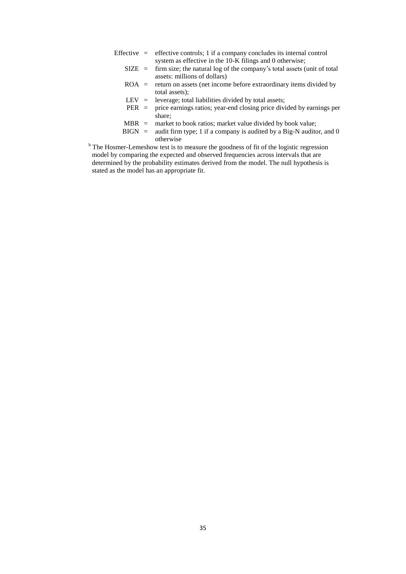- Effective  $=$  effective controls; 1 if a company concludes its internal control system as effective in the 10-K filings and 0 otherwise;  $SIZE = firm size$ ; the natural log of the company's total assets (unit of total assets: millions of dollars)
	- $ROA =$  return on assets (net income before extraordinary items divided by total assets);
	-
	- LEV = leverage; total liabilities divided by total assets;<br>PER = price earnings ratios; year-end closing price divi price earnings ratios; year-end closing price divided by earnings per share;
	- $MBR$  = market to book ratios; market value divided by book value;
	- $BIGN = \text{audit firm type}; 1 \text{ if a company is audited by a Big-N auditor, and } 0$ otherwise
- <sup>b</sup> The Hosmer-Lemeshow test is to measure the goodness of fit of the logistic regression model by comparing the expected and observed frequencies across intervals that are determined by the probability estimates derived from the model. The null hypothesis is stated as the model has an appropriate fit.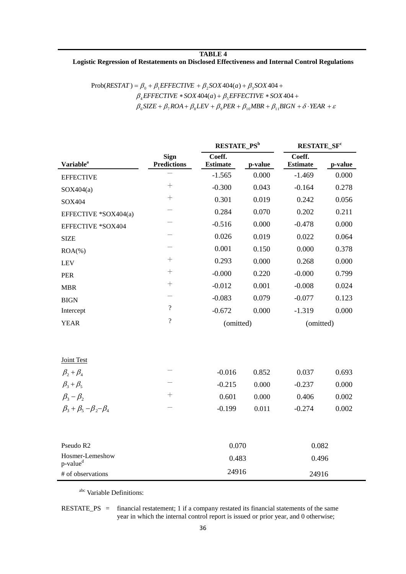#### **TABLE 4 Logistic Regression of Restatements on Disclosed Effectiveness and Internal Control Regulations**

# $\beta_6$ SIZE +  $\beta_7$ ROA +  $\beta_8$ LEV +  $\beta_9$ PER +  $\beta_{10}$ MBR +  $\beta_{11}$ BIGN +  $\delta$  · YEAR +  $\varepsilon$  $\beta_4$ EFFECTIVE  $*$  SOX 404(a) +  $\beta_5$ EFFECTIVE  $*$  SOX 404 +  $Prob(RESTAT) = \beta_0 + \beta_1 EFFECTIVE + \beta_2 SOX404(a) + \beta_3 SOX404 +$

|                                         |                                   | RESTATE_PS <sup>b</sup>   |         | <b>RESTATE_SFC</b>        |         |  |
|-----------------------------------------|-----------------------------------|---------------------------|---------|---------------------------|---------|--|
| <b>Variable</b> <sup>a</sup>            | <b>Sign</b><br><b>Predictions</b> | Coeff.<br><b>Estimate</b> | p-value | Coeff.<br><b>Estimate</b> | p-value |  |
| <b>EFFECTIVE</b>                        |                                   | $-1.565$                  | 0.000   | $-1.469$                  | 0.000   |  |
| SOX404(a)                               | $^+$                              | $-0.300$                  | 0.043   | $-0.164$                  | 0.278   |  |
| SOX404                                  |                                   | 0.301                     | 0.019   | 0.242                     | 0.056   |  |
| EFFECTIVE *SOX404(a)                    |                                   | 0.284                     | 0.070   | 0.202                     | 0.211   |  |
| EFFECTIVE *SOX404                       |                                   | $-0.516$                  | 0.000   | $-0.478$                  | 0.000   |  |
| <b>SIZE</b>                             |                                   | 0.026                     | 0.019   | 0.022                     | 0.064   |  |
| $ROA(\%)$                               |                                   | 0.001                     | 0.150   | 0.000                     | 0.378   |  |
| <b>LEV</b>                              |                                   | 0.293                     | 0.000   | 0.268                     | 0.000   |  |
| PER                                     | $^{+}$                            | $-0.000$                  | 0.220   | $-0.000$                  | 0.799   |  |
| <b>MBR</b>                              |                                   | $-0.012$                  | 0.001   | $-0.008$                  | 0.024   |  |
| <b>BIGN</b>                             |                                   | $-0.083$                  | 0.079   | $-0.077$                  | 0.123   |  |
| Intercept                               | $\overline{?}$                    | $-0.672$                  | 0.000   | $-1.319$                  | 0.000   |  |
| <b>YEAR</b>                             | $\overline{?}$                    | (omitted)                 |         | (omitted)                 |         |  |
| Joint Test                              |                                   |                           |         |                           |         |  |
| $\beta_2+\beta_4$                       |                                   | $-0.016$                  | 0.852   | 0.037                     | 0.693   |  |
| $\beta_3 + \beta_5$                     |                                   | $-0.215$                  | 0.000   | $-0.237$                  | 0.000   |  |
| $\beta_3 - \beta_2$                     | $^{+}$                            | 0.601                     | 0.000   | 0.406                     | 0.002   |  |
| $\beta_3 + \beta_5 - \beta_2 - \beta_4$ |                                   | $-0.199$                  | 0.011   | $-0.274$                  | 0.002   |  |
| Pseudo R2                               |                                   | 0.070                     |         | 0.082                     |         |  |
| Hosmer-Lemeshow<br>p-value <sup>d</sup> |                                   | 0.483                     |         | 0.496                     |         |  |
| # of observations                       |                                   | 24916                     |         | 24916                     |         |  |

abc Variable Definitions:

RESTATE\_PS = financial restatement; 1 if a company restated its financial statements of the same year in which the internal control report is issued or prior year, and 0 otherwise;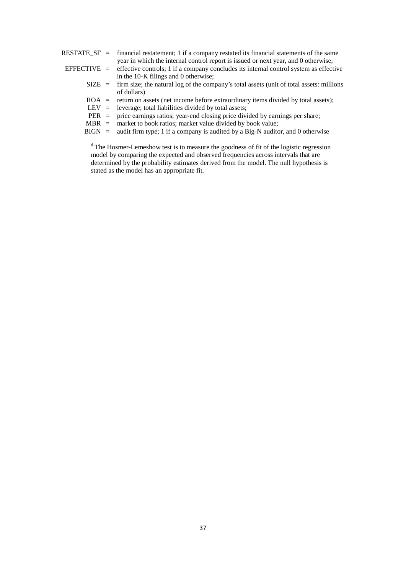|          | $RESTATE\_SF$ = financial restatement; 1 if a company restated its financial statements of the same      |
|----------|----------------------------------------------------------------------------------------------------------|
|          | year in which the internal control report is issued or next year, and 0 otherwise;                       |
|          | EFFECTIVE $=$ effective controls; 1 if a company concludes its internal control system as effective      |
|          | in the 10-K filings and 0 otherwise;                                                                     |
|          | $\text{SIZE}$ = firm size; the natural log of the company's total assets (unit of total assets: millions |
|          | of dollars)                                                                                              |
|          | $ROA$ = return on assets (net income before extraordinary items divided by total assets);                |
|          | LEV $=$ leverage; total liabilities divided by total assets;                                             |
|          | $PER = price earnings ratios; year-end closing price divided by earnings per share;$                     |
| $MBR =$  | market to book ratios; market value divided by book value;                                               |
| $BIGN =$ | audit firm type; 1 if a company is audited by a Big-N auditor, and 0 otherwise                           |
|          |                                                                                                          |

<sup>d</sup> The Hosmer-Lemeshow test is to measure the goodness of fit of the logistic regression model by comparing the expected and observed frequencies across intervals that are determined by the probability estimates derived from the model. The null hypothesis is stated as the model has an appropriate fit.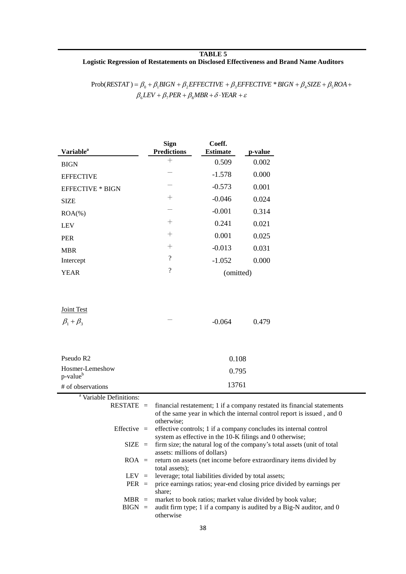#### **TABLE 5 Logistic Regression of Restatements on Disclosed Effectiveness and Brand Name Auditors**

 $\beta_{6} LEV + \beta_{7} PER + \beta_{8} MBR + \delta \cdot YEAR + \varepsilon$  $Prob(RESTAT) = \beta_0 + \beta_1 BIGN + \beta_2 EFFECTIVE + \beta_3 EFFECTIVE * BIGN + \beta_4 SIZE + \beta_5 ROA +$ 

|                          | Coeff.             |                                |
|--------------------------|--------------------|--------------------------------|
|                          |                    | p-value                        |
| $^+$                     | 0.509              | 0.002                          |
|                          | $-1.578$           | 0.000                          |
|                          | $-0.573$           | 0.001                          |
| $^+$                     | $-0.046$           | 0.024                          |
|                          | $-0.001$           | 0.314                          |
| $^+$                     | 0.241              | 0.021                          |
| $^+$                     | 0.001              | 0.025                          |
| $^{+}$                   | $-0.013$           | 0.031                          |
| $\overline{\mathcal{C}}$ | $-1.052$           | 0.000                          |
| $\overline{\cdot}$       | (omitted)          |                                |
|                          | <b>Predictions</b> | <b>Sign</b><br><b>Estimate</b> |

Joint Test

| $\beta_1 + \beta_3$                     | $\overline{\phantom{a}}$ | $-0.064$ | 0.479 |
|-----------------------------------------|--------------------------|----------|-------|
|                                         |                          |          |       |
|                                         |                          |          |       |
| Pseudo R <sub>2</sub>                   |                          | 0.108    |       |
| Hosmer-Lemeshow<br>p-value <sup>b</sup> |                          | 0.795    |       |
| # of observations                       |                          | 13761    |       |

| <sup>a</sup> Variable Definitions: |                                                                                                   |
|------------------------------------|---------------------------------------------------------------------------------------------------|
|                                    | $\text{RESTATE}$ = financial restatement; 1 if a company restated its financial statements        |
|                                    | of the same year in which the internal control report is issued, and 0<br>otherwise;              |
|                                    | Effective $=$ effective controls; 1 if a company concludes its internal control                   |
|                                    | system as effective in the 10-K filings and 0 otherwise;                                          |
|                                    | $SIZE =$ firm size; the natural log of the company's total assets (unit of total                  |
|                                    | assets: millions of dollars)                                                                      |
|                                    | ROA = return on assets (net income before extraordinary items divided by                          |
|                                    | total assets);                                                                                    |
|                                    | $LEV =$ leverage; total liabilities divided by total assets;                                      |
| $PER =$                            | price earnings ratios; year-end closing price divided by earnings per<br>share;                   |
|                                    | $MBR$ = market to book ratios; market value divided by book value;                                |
|                                    | $\text{BIGN}$ = audit firm type; 1 if a company is audited by a Big-N auditor, and 0<br>otherwise |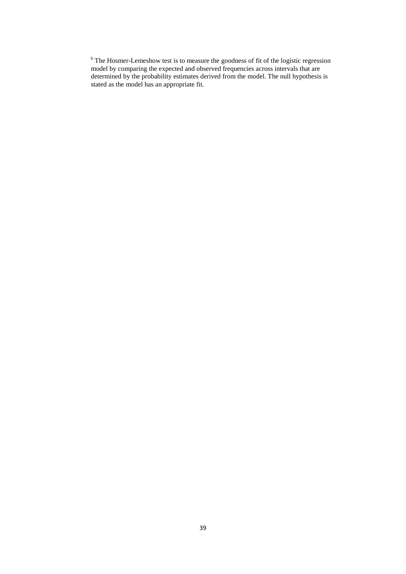$b<sup>b</sup>$  The Hosmer-Lemeshow test is to measure the goodness of fit of the logistic regression model by comparing the expected and observed frequencies across intervals that are determined by the probability estimates derived from the model. The null hypothesis is stated as the model has an appropriate fit.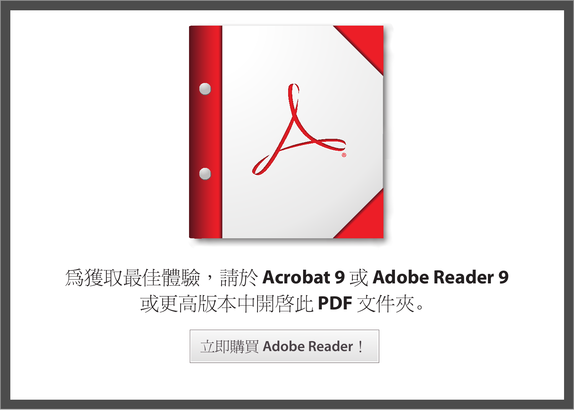

# 為獲取最佳體驗,請於 **Acrobat 9** 或 **Adobe Reader 9** 或更高版本中開啟此 **PDF** 文件夾。

立即購買 **[Adobe Reader](http://www.adobe.com/go/reader_download_tw)**!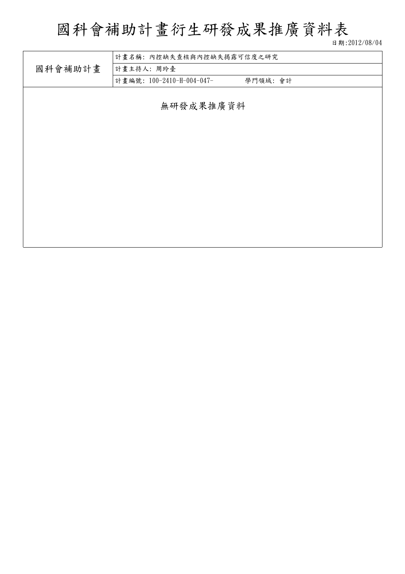# 國科會補助計畫衍生研發成果推廣資料表

日期:2012/08/04

|         | 計畫名稱: 內控缺失查核與內控缺失揭露可信度之研究 |         |  |  |  |
|---------|---------------------------|---------|--|--|--|
| 國科會補助計畫 | 計畫主持人:周玲臺                 |         |  |  |  |
|         | 計畫編號: 100-2410-H-004-047- | 學門領域:會計 |  |  |  |
|         |                           |         |  |  |  |
|         | 無研發成果推廣資料                 |         |  |  |  |
|         |                           |         |  |  |  |
|         |                           |         |  |  |  |
|         |                           |         |  |  |  |
|         |                           |         |  |  |  |
|         |                           |         |  |  |  |
|         |                           |         |  |  |  |
|         |                           |         |  |  |  |
|         |                           |         |  |  |  |
|         |                           |         |  |  |  |
|         |                           |         |  |  |  |
|         |                           |         |  |  |  |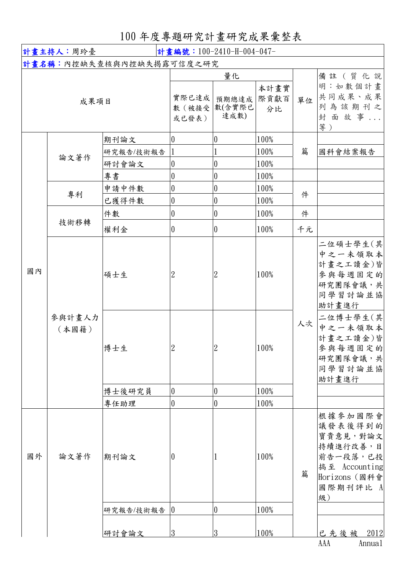# 100 年度專題研究計畫研究成果彙整表

| 計畫編號: 100-2410-H-004-047-<br>計畫主持人:周玲臺 |        |                                  |                                                          |                                           |                              |        |                                                                                                            |
|----------------------------------------|--------|----------------------------------|----------------------------------------------------------|-------------------------------------------|------------------------------|--------|------------------------------------------------------------------------------------------------------------|
| 計畫名稱:內控缺失查核與內控缺失揭露可信度之研究               |        |                                  |                                                          |                                           |                              |        |                                                                                                            |
| 成果項目                                   |        |                                  | 實際已達成<br>數 (被接受<br>或已發表)                                 | 量化<br>預期總達成 際貢獻百<br>數(含實際已<br>達成數)        | 本計畫實<br>分比                   | 單位     | 備註 (質化說<br>明:如數個計畫<br>共同成果、成果<br>列為該期刊之<br>封面故事<br>等)                                                      |
|                                        | 論文著作   | 期刊論文<br>研究報告/技術報告<br>研討會論文<br>專書 | $\theta$<br>$\boldsymbol{0}$<br>$\overline{0}$           | 0<br>0<br>$\boldsymbol{0}$                | 100%<br>100%<br>100%<br>100% | 篇      | 國科會結案報告                                                                                                    |
|                                        | 專利     | 申請中件數<br>已獲得件數<br>件數             | $\boldsymbol{0}$<br>$\boldsymbol{0}$<br>$\boldsymbol{0}$ | 0<br>$\boldsymbol{0}$<br>$\boldsymbol{0}$ | 100%<br>100%<br>100%         | 件<br>件 |                                                                                                            |
|                                        | 技術移轉   | 權利金                              | $\boldsymbol{0}$                                         | $\boldsymbol{0}$                          | 100%                         | 千元     |                                                                                                            |
| 國內<br>(本國籍)                            | 參與計畫人力 | 碩士生                              | $\boldsymbol{2}$                                         | $\mathbf{2}$                              | 100%                         | 人次     | 二位碩士學生(其<br>中之一未領取本<br>計畫之工讀金)皆<br>參與每週固定的<br>研究團隊會議,共<br>同學習討論並協<br>助計畫進行<br>二位博士學生(其                     |
|                                        |        | 博士生<br>博士後研究員                    | $\overline{2}$<br>$\boldsymbol{0}$                       | 2<br>$\boldsymbol{0}$                     | 100%<br>100%                 |        | 中之一未領取本<br>計畫之工讀金)皆<br>參與每週固定的 <br>研究團隊會議,共<br>同學習討論並協<br>助計畫進行                                            |
|                                        |        | 專任助理                             | 0                                                        | $\overline{0}$                            | 100%                         |        |                                                                                                            |
| 國外                                     | 論文著作   | 期刊論文                             | 0                                                        |                                           | 100%                         | 篇      | 根據參加國際會<br>議發表後得到的<br>寶貴意見,對論文<br>持續進行改善,目<br>前告一段落,已投<br>搞至 Accounting<br>Horizons (國科會<br>國際期刊評比 A<br>級) |
|                                        |        | 研究報告/技術報告                        | $\overline{0}$                                           | $\overline{0}$                            | 100%                         |        |                                                                                                            |
|                                        |        | 研討會論文                            | $\overline{3}$                                           | 3                                         | 100%                         |        | 2012<br>已先後被<br>AAA<br>Annual                                                                              |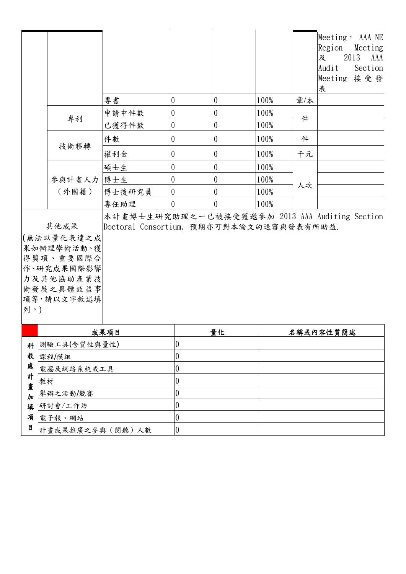|   |                                                                                                                                                                                                          |        |                                      |                  |         |           | Meeting, AAA NE<br>Region<br>2013<br>及<br>Audit<br>Meeting 接受發<br>表 | Meeting<br>AAA<br>Section |
|---|----------------------------------------------------------------------------------------------------------------------------------------------------------------------------------------------------------|--------|--------------------------------------|------------------|---------|-----------|---------------------------------------------------------------------|---------------------------|
|   |                                                                                                                                                                                                          | 專書     | 0                                    | $\pmb{0}$        | 100%    | 章/本       |                                                                     |                           |
|   | 專利                                                                                                                                                                                                       | 申請中件數  | $\pmb{0}$                            | 0                | $100\%$ | 件         |                                                                     |                           |
|   |                                                                                                                                                                                                          | 已獲得件數  | $\pmb{0}$                            | $\boldsymbol{0}$ | 100%    |           |                                                                     |                           |
|   | 技術移轉                                                                                                                                                                                                     | 件數     | 0                                    | 0                | 100%    | 件         |                                                                     |                           |
|   |                                                                                                                                                                                                          | 權利金    | 0                                    | $\pmb{0}$        | 100%    | 千元        |                                                                     |                           |
|   |                                                                                                                                                                                                          | 碩士生    | 0                                    | $\boldsymbol{0}$ | 100%    |           |                                                                     |                           |
|   | 參與計畫人力 博士生                                                                                                                                                                                               |        | $\boldsymbol{0}$                     | 0                | 100%    |           |                                                                     |                           |
|   | (外國籍)                                                                                                                                                                                                    | 博士後研究員 | $\boldsymbol{0}$                     | 0                | 100%    | 人次        |                                                                     |                           |
|   |                                                                                                                                                                                                          | 專任助理   | $\theta$                             | 0                | 100%    |           |                                                                     |                           |
|   | 本計畫博士生研究助理之一已被接受獲邀參加 2013 AAA Auditing Section<br>其他成果<br>Doctoral Consortium, 預期亦可對本論文的送審與發表有所助益.<br>(無法以量化表達之成<br>果如辦理學術活動、獲<br>得獎項、重要國際合<br>作、研究成果國際影響<br>力及其他協助產業技<br>術發展之具體效益事<br>項等,請以文字敘述填<br>列。) |        |                                      |                  |         |           |                                                                     |                           |
|   | 成果項目                                                                                                                                                                                                     |        | 量化                                   |                  |         | 名稱或內容性質簡述 |                                                                     |                           |
| 科 | 測驗工具(含質性與量性)                                                                                                                                                                                             |        | 0                                    |                  |         |           |                                                                     |                           |
| 處 | 教<br>課程/模組                                                                                                                                                                                               |        | $\boldsymbol{0}$<br>$\boldsymbol{0}$ |                  |         |           |                                                                     |                           |
| 計 | 電腦及網路系統或工具<br>教材                                                                                                                                                                                         |        | $\boldsymbol{0}$                     |                  |         |           |                                                                     |                           |
|   | 畫<br>舉辦之活動/競賽                                                                                                                                                                                            |        | $\boldsymbol{0}$                     |                  |         |           |                                                                     |                           |
| 填 | 加<br>研討會/工作坊                                                                                                                                                                                             |        | $\boldsymbol{0}$                     |                  |         |           |                                                                     |                           |
| 項 | 電子報、網站                                                                                                                                                                                                   |        | 0                                    |                  |         |           |                                                                     |                           |
| 目 | 計畫成果推廣之參與(閱聽)人數                                                                                                                                                                                          |        | $\boldsymbol{0}$                     |                  |         |           |                                                                     |                           |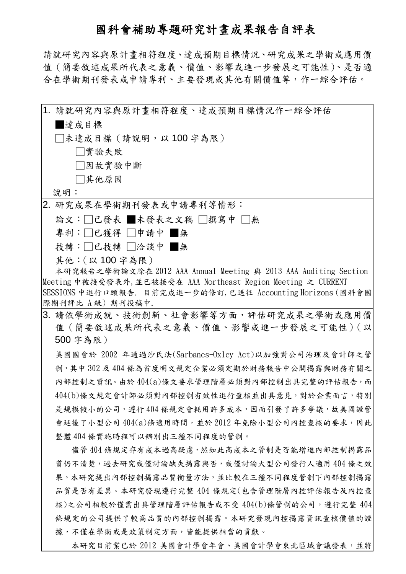# 國科會補助專題研究計畫成果報告自評表

請就研究內容與原計畫相符程度、達成預期目標情況、研究成果之學術或應用價 值(簡要敘述成果所代表之意義、價值、影響或進一步發展之可能性)、是否適 合在學術期刊發表或申請專利、主要發現或其他有關價值等,作一綜合評估。

|                         | 1. 請就研究內容與原計畫相符程度、達成預期目標情況作一綜合評估                                 |
|-------------------------|------------------------------------------------------------------|
| 量成目標                    |                                                                  |
| □未達成目標(請說明,以 100 字為限)   |                                                                  |
| □實驗失敗                   |                                                                  |
| □因故實驗中斷                 |                                                                  |
| □其他原因                   |                                                                  |
| 說明:                     |                                                                  |
| 2. 研究成果在學術期刊發表或申請專利等情形: |                                                                  |
|                         | 論文:□已發表 ■未發表之文稿 □撰寫中 □無                                          |
| 專利:□已獲得 □申請中 ■無         |                                                                  |
| 技轉:   已技轉    洽談中     無  |                                                                  |
| 其他: (以100字為限)           |                                                                  |
|                         | 本研究報告之學術論文除在 2012 AAA Annual Meeting 與 2013 AAA Auditing Section |
|                         | Meeting 中被接受發表外,並已被接受在 AAA Northeast Region Meeting 之 CURRENT    |
| 際期刊評比 A級) 期刊投稿中.        | SESSIONS 中進行口頭報告. 目前完成進一步的修訂, 已送往 Accounting Horizons (國科會國      |
|                         | 3. 請依學術成就、技術創新、社會影響等方面,評估研究成果之學術或應用價                             |
|                         | 值 (簡要敘述成果所代表之意義、價值、影響或進一步發展之可能性) (以                              |
| 500 字為限)                |                                                                  |
|                         | 美國國會於 2002 年通過沙氏法(Sarbanes-Oxley Act)以加強對公司治理及會計師之管              |
|                         | 制,其中302及404條為首度明文規定企業必須定期於財務報告中公開揭露與財務有關之                        |
|                         | 內部控制之資訊。由於404(a)條文要求管理階層必須對內部控制出具完整的評估報告,而                       |
|                         | 404(b)條文規定會計師必須對內部控制有效性進行查核並出具意見,對於企業而言,特別                       |
|                         | 是規模較小的公司,遵行404條規定會耗用許多成本,因而引發了許多爭議,故美國證管                         |
|                         | 會延後了小型公司404(a)條適用時間,並於2012年免除小型公司內控查核的要求,因此                      |
|                         | 整體 404 條實施時程可以辨別出三種不同程度的管制。                                      |
|                         | 儘管404條規定存有成本過高疑慮,然如此高成本之管制是否能增進內部控制揭露品                           |
|                         | 質仍不清楚,過去研究或僅討論缺失揭露與否,或僅討論大型公司發行人適用404條之效                         |
|                         | 果。本研究提出內部控制揭露品質衡量方法,並比較在三種不同程度管制下內部控制揭露                          |
|                         | 品質是否有差異。本研究發現遵行完整 404 條規定(包含管理階層內控評估報告及內控查                       |
|                         | 核)之公司相較於僅需出具管理階層評估報告或不受 404(b)條管制的公司,遵行完整 404                    |
|                         | 條規定的公司提供了較高品質的內部控制揭露。本研究發現內控揭露資訊查核價值的證                           |
|                         | 據,不僅在學術或是政策制定方面,皆能提供相當的貢獻。                                       |
|                         | 本研究目前業已於 2012 美國會計學會年會、美國會計學會東北區域會議發表,並將                         |